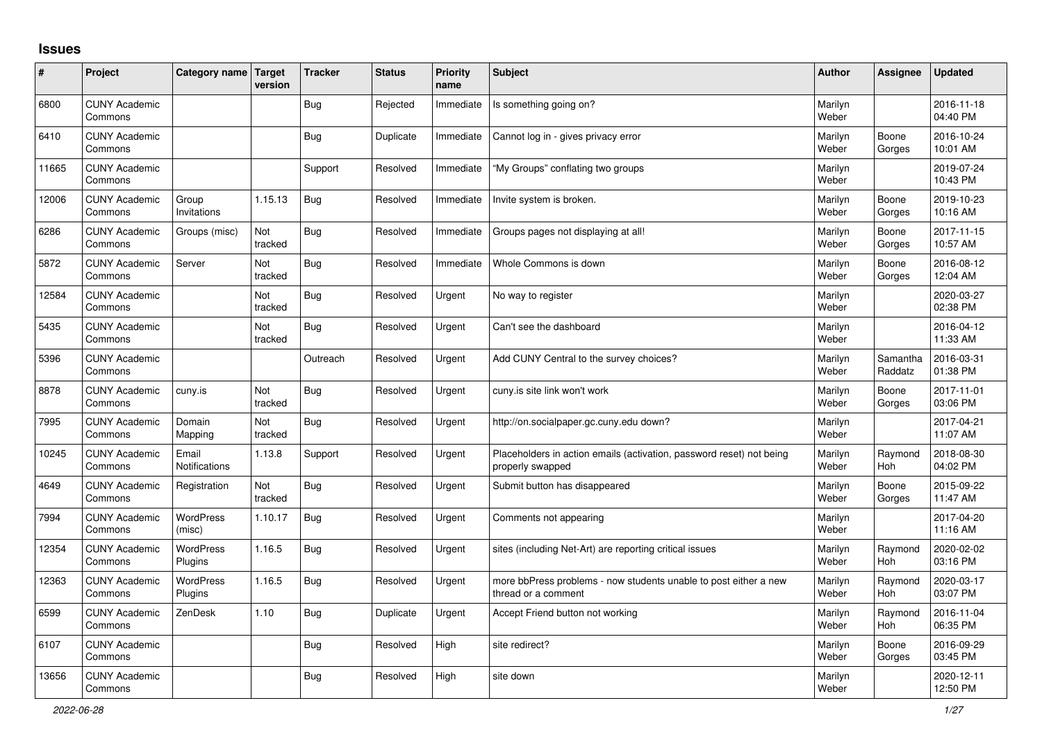## **Issues**

| #     | Project                         | Category name Target        | version        | <b>Tracker</b> | <b>Status</b> | <b>Priority</b><br>name | <b>Subject</b>                                                                           | <b>Author</b>    | Assignee              | <b>Updated</b>         |
|-------|---------------------------------|-----------------------------|----------------|----------------|---------------|-------------------------|------------------------------------------------------------------------------------------|------------------|-----------------------|------------------------|
| 6800  | <b>CUNY Academic</b><br>Commons |                             |                | <b>Bug</b>     | Rejected      | Immediate               | Is something going on?                                                                   | Marilyn<br>Weber |                       | 2016-11-18<br>04:40 PM |
| 6410  | <b>CUNY Academic</b><br>Commons |                             |                | <b>Bug</b>     | Duplicate     | Immediate               | Cannot log in - gives privacy error                                                      | Marilyn<br>Weber | Boone<br>Gorges       | 2016-10-24<br>10:01 AM |
| 11665 | <b>CUNY Academic</b><br>Commons |                             |                | Support        | Resolved      | Immediate               | "My Groups" conflating two groups                                                        | Marilyn<br>Weber |                       | 2019-07-24<br>10:43 PM |
| 12006 | <b>CUNY Academic</b><br>Commons | Group<br>Invitations        | 1.15.13        | Bug            | Resolved      | Immediate               | Invite system is broken.                                                                 | Marilyn<br>Weber | Boone<br>Gorges       | 2019-10-23<br>10:16 AM |
| 6286  | <b>CUNY Academic</b><br>Commons | Groups (misc)               | Not<br>tracked | <b>Bug</b>     | Resolved      | Immediate               | Groups pages not displaying at all!                                                      | Marilyn<br>Weber | Boone<br>Gorges       | 2017-11-15<br>10:57 AM |
| 5872  | <b>CUNY Academic</b><br>Commons | Server                      | Not<br>tracked | <b>Bug</b>     | Resolved      | Immediate               | Whole Commons is down                                                                    | Marilyn<br>Weber | Boone<br>Gorges       | 2016-08-12<br>12:04 AM |
| 12584 | <b>CUNY Academic</b><br>Commons |                             | Not<br>tracked | <b>Bug</b>     | Resolved      | Urgent                  | No way to register                                                                       | Marilyn<br>Weber |                       | 2020-03-27<br>02:38 PM |
| 5435  | <b>CUNY Academic</b><br>Commons |                             | Not<br>tracked | Bug            | Resolved      | Urgent                  | Can't see the dashboard                                                                  | Marilyn<br>Weber |                       | 2016-04-12<br>11:33 AM |
| 5396  | <b>CUNY Academic</b><br>Commons |                             |                | Outreach       | Resolved      | Urgent                  | Add CUNY Central to the survey choices?                                                  | Marilyn<br>Weber | Samantha<br>Raddatz   | 2016-03-31<br>01:38 PM |
| 8878  | <b>CUNY Academic</b><br>Commons | cuny.is                     | Not<br>tracked | <b>Bug</b>     | Resolved      | Urgent                  | cuny is site link won't work                                                             | Marilyn<br>Weber | Boone<br>Gorges       | 2017-11-01<br>03:06 PM |
| 7995  | <b>CUNY Academic</b><br>Commons | Domain<br>Mapping           | Not<br>tracked | Bug            | Resolved      | Urgent                  | http://on.socialpaper.gc.cuny.edu down?                                                  | Marilyn<br>Weber |                       | 2017-04-21<br>11:07 AM |
| 10245 | <b>CUNY Academic</b><br>Commons | Email<br>Notifications      | 1.13.8         | Support        | Resolved      | Urgent                  | Placeholders in action emails (activation, password reset) not being<br>properly swapped | Marilyn<br>Weber | Raymond<br>Hoh        | 2018-08-30<br>04:02 PM |
| 4649  | <b>CUNY Academic</b><br>Commons | Registration                | Not<br>tracked | <b>Bug</b>     | Resolved      | Urgent                  | Submit button has disappeared                                                            | Marilyn<br>Weber | Boone<br>Gorges       | 2015-09-22<br>11:47 AM |
| 7994  | <b>CUNY Academic</b><br>Commons | WordPress<br>(misc)         | 1.10.17        | <b>Bug</b>     | Resolved      | Urgent                  | Comments not appearing                                                                   | Marilyn<br>Weber |                       | 2017-04-20<br>11:16 AM |
| 12354 | <b>CUNY Academic</b><br>Commons | <b>WordPress</b><br>Plugins | 1.16.5         | <b>Bug</b>     | Resolved      | Urgent                  | sites (including Net-Art) are reporting critical issues                                  | Marilyn<br>Weber | Raymond<br><b>Hoh</b> | 2020-02-02<br>03:16 PM |
| 12363 | <b>CUNY Academic</b><br>Commons | WordPress<br>Plugins        | 1.16.5         | Bug            | Resolved      | Urgent                  | more bbPress problems - now students unable to post either a new<br>thread or a comment  | Marilyn<br>Weber | Raymond<br>Hoh        | 2020-03-17<br>03:07 PM |
| 6599  | <b>CUNY Academic</b><br>Commons | ZenDesk                     | 1.10           | <b>Bug</b>     | Duplicate     | Urgent                  | Accept Friend button not working                                                         | Marilyn<br>Weber | Raymond<br>Hoh        | 2016-11-04<br>06:35 PM |
| 6107  | <b>CUNY Academic</b><br>Commons |                             |                | <b>Bug</b>     | Resolved      | High                    | site redirect?                                                                           | Marilyn<br>Weber | Boone<br>Gorges       | 2016-09-29<br>03:45 PM |
| 13656 | <b>CUNY Academic</b><br>Commons |                             |                | Bug            | Resolved      | High                    | site down                                                                                | Marilyn<br>Weber |                       | 2020-12-11<br>12:50 PM |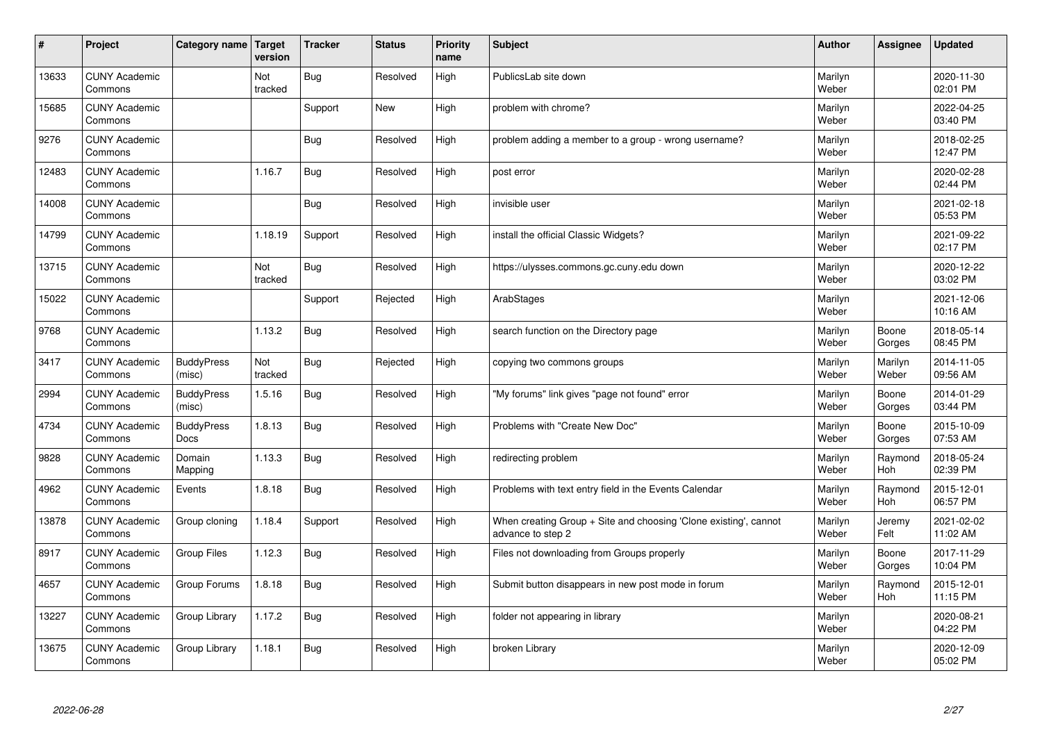| $\sharp$ | Project                         | Category name               | Target<br>version | <b>Tracker</b> | <b>Status</b> | <b>Priority</b><br>name | <b>Subject</b>                                                                        | <b>Author</b>    | Assignee         | <b>Updated</b>         |
|----------|---------------------------------|-----------------------------|-------------------|----------------|---------------|-------------------------|---------------------------------------------------------------------------------------|------------------|------------------|------------------------|
| 13633    | <b>CUNY Academic</b><br>Commons |                             | Not<br>tracked    | Bug            | Resolved      | High                    | PublicsLab site down                                                                  | Marilyn<br>Weber |                  | 2020-11-30<br>02:01 PM |
| 15685    | <b>CUNY Academic</b><br>Commons |                             |                   | Support        | New           | High                    | problem with chrome?                                                                  | Marilyn<br>Weber |                  | 2022-04-25<br>03:40 PM |
| 9276     | <b>CUNY Academic</b><br>Commons |                             |                   | <b>Bug</b>     | Resolved      | High                    | problem adding a member to a group - wrong username?                                  | Marilyn<br>Weber |                  | 2018-02-25<br>12:47 PM |
| 12483    | <b>CUNY Academic</b><br>Commons |                             | 1.16.7            | <b>Bug</b>     | Resolved      | High                    | post error                                                                            | Marilyn<br>Weber |                  | 2020-02-28<br>02:44 PM |
| 14008    | <b>CUNY Academic</b><br>Commons |                             |                   | <b>Bug</b>     | Resolved      | High                    | invisible user                                                                        | Marilyn<br>Weber |                  | 2021-02-18<br>05:53 PM |
| 14799    | <b>CUNY Academic</b><br>Commons |                             | 1.18.19           | Support        | Resolved      | High                    | install the official Classic Widgets?                                                 | Marilyn<br>Weber |                  | 2021-09-22<br>02:17 PM |
| 13715    | <b>CUNY Academic</b><br>Commons |                             | Not<br>tracked    | <b>Bug</b>     | Resolved      | High                    | https://ulysses.commons.gc.cuny.edu down                                              | Marilyn<br>Weber |                  | 2020-12-22<br>03:02 PM |
| 15022    | <b>CUNY Academic</b><br>Commons |                             |                   | Support        | Rejected      | High                    | ArabStages                                                                            | Marilyn<br>Weber |                  | 2021-12-06<br>10:16 AM |
| 9768     | <b>CUNY Academic</b><br>Commons |                             | 1.13.2            | <b>Bug</b>     | Resolved      | High                    | search function on the Directory page                                                 | Marilyn<br>Weber | Boone<br>Gorges  | 2018-05-14<br>08:45 PM |
| 3417     | <b>CUNY Academic</b><br>Commons | <b>BuddyPress</b><br>(misc) | Not<br>tracked    | Bug            | Rejected      | High                    | copying two commons groups                                                            | Marilyn<br>Weber | Marilyn<br>Weber | 2014-11-05<br>09:56 AM |
| 2994     | <b>CUNY Academic</b><br>Commons | <b>BuddyPress</b><br>(misc) | 1.5.16            | Bug            | Resolved      | High                    | "My forums" link gives "page not found" error                                         | Marilyn<br>Weber | Boone<br>Gorges  | 2014-01-29<br>03:44 PM |
| 4734     | <b>CUNY Academic</b><br>Commons | <b>BuddyPress</b><br>Docs   | 1.8.13            | Bug            | Resolved      | High                    | Problems with "Create New Doc"                                                        | Marilyn<br>Weber | Boone<br>Gorges  | 2015-10-09<br>07:53 AM |
| 9828     | <b>CUNY Academic</b><br>Commons | Domain<br>Mapping           | 1.13.3            | Bug            | Resolved      | High                    | redirecting problem                                                                   | Marilyn<br>Weber | Raymond<br>Hoh   | 2018-05-24<br>02:39 PM |
| 4962     | <b>CUNY Academic</b><br>Commons | Events                      | 1.8.18            | Bug            | Resolved      | High                    | Problems with text entry field in the Events Calendar                                 | Marilyn<br>Weber | Raymond<br>Hoh   | 2015-12-01<br>06:57 PM |
| 13878    | <b>CUNY Academic</b><br>Commons | Group cloning               | 1.18.4            | Support        | Resolved      | High                    | When creating Group + Site and choosing 'Clone existing', cannot<br>advance to step 2 | Marilyn<br>Weber | Jeremy<br>Felt   | 2021-02-02<br>11:02 AM |
| 8917     | <b>CUNY Academic</b><br>Commons | <b>Group Files</b>          | 1.12.3            | Bug            | Resolved      | High                    | Files not downloading from Groups properly                                            | Marilyn<br>Weber | Boone<br>Gorges  | 2017-11-29<br>10:04 PM |
| 4657     | <b>CUNY Academic</b><br>Commons | Group Forums                | 1.8.18            | Bug            | Resolved      | High                    | Submit button disappears in new post mode in forum                                    | Marilyn<br>Weber | Raymond<br>Hoh   | 2015-12-01<br>11:15 PM |
| 13227    | <b>CUNY Academic</b><br>Commons | Group Library               | 1.17.2            | <b>Bug</b>     | Resolved      | High                    | folder not appearing in library                                                       | Marilyn<br>Weber |                  | 2020-08-21<br>04:22 PM |
| 13675    | <b>CUNY Academic</b><br>Commons | Group Library               | 1.18.1            | Bug            | Resolved      | High                    | broken Library                                                                        | Marilyn<br>Weber |                  | 2020-12-09<br>05:02 PM |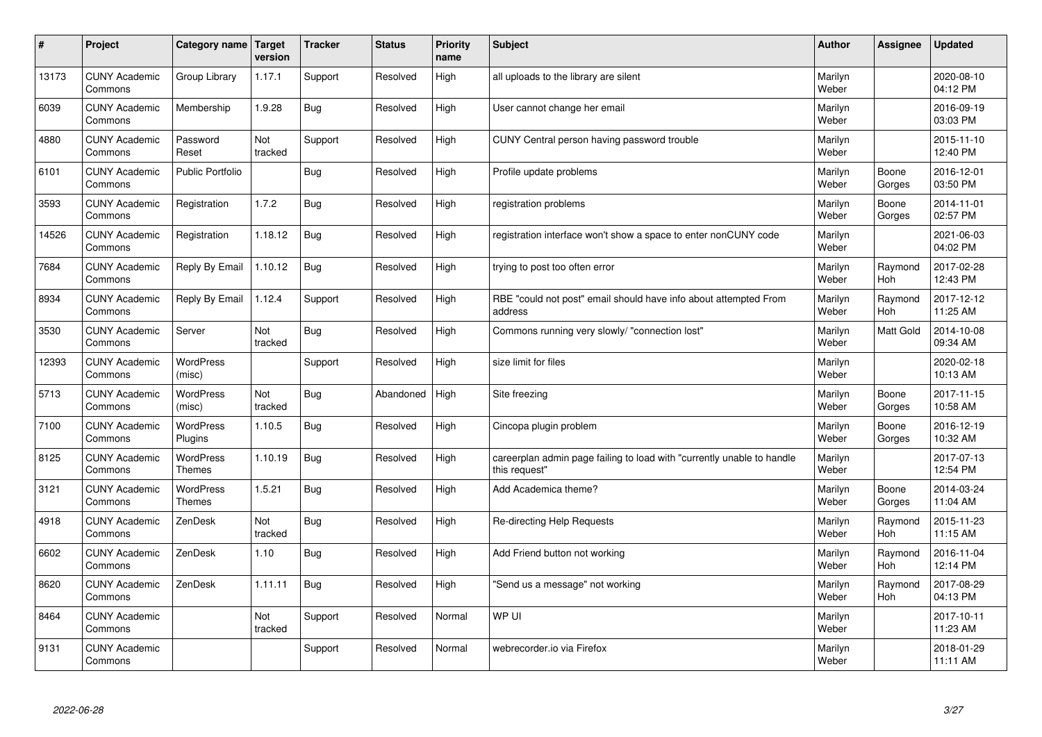| $\sharp$ | Project                         | <b>Category name</b>              | Target<br>version | <b>Tracker</b> | <b>Status</b> | <b>Priority</b><br>name | <b>Subject</b>                                                                          | <b>Author</b>    | Assignee         | Updated                |
|----------|---------------------------------|-----------------------------------|-------------------|----------------|---------------|-------------------------|-----------------------------------------------------------------------------------------|------------------|------------------|------------------------|
| 13173    | <b>CUNY Academic</b><br>Commons | Group Library                     | 1.17.1            | Support        | Resolved      | High                    | all uploads to the library are silent                                                   | Marilyn<br>Weber |                  | 2020-08-10<br>04:12 PM |
| 6039     | <b>CUNY Academic</b><br>Commons | Membership                        | 1.9.28            | Bug            | Resolved      | High                    | User cannot change her email                                                            | Marilyn<br>Weber |                  | 2016-09-19<br>03:03 PM |
| 4880     | <b>CUNY Academic</b><br>Commons | Password<br>Reset                 | Not<br>tracked    | Support        | Resolved      | High                    | CUNY Central person having password trouble                                             | Marilyn<br>Weber |                  | 2015-11-10<br>12:40 PM |
| 6101     | <b>CUNY Academic</b><br>Commons | <b>Public Portfolio</b>           |                   | <b>Bug</b>     | Resolved      | High                    | Profile update problems                                                                 | Marilyn<br>Weber | Boone<br>Gorges  | 2016-12-01<br>03:50 PM |
| 3593     | <b>CUNY Academic</b><br>Commons | Registration                      | 1.7.2             | <b>Bug</b>     | Resolved      | High                    | registration problems                                                                   | Marilyn<br>Weber | Boone<br>Gorges  | 2014-11-01<br>02:57 PM |
| 14526    | <b>CUNY Academic</b><br>Commons | Registration                      | 1.18.12           | Bug            | Resolved      | High                    | registration interface won't show a space to enter nonCUNY code                         | Marilyn<br>Weber |                  | 2021-06-03<br>04:02 PM |
| 7684     | <b>CUNY Academic</b><br>Commons | Reply By Email                    | 1.10.12           | <b>Bug</b>     | Resolved      | High                    | trying to post too often error                                                          | Marilyn<br>Weber | Raymond<br>Hoh   | 2017-02-28<br>12:43 PM |
| 8934     | <b>CUNY Academic</b><br>Commons | Reply By Email                    | 1.12.4            | Support        | Resolved      | High                    | RBE "could not post" email should have info about attempted From<br>address             | Marilyn<br>Weber | Raymond<br>Hoh   | 2017-12-12<br>11:25 AM |
| 3530     | <b>CUNY Academic</b><br>Commons | Server                            | Not<br>tracked    | Bug            | Resolved      | High                    | Commons running very slowly/ "connection lost"                                          | Marilyn<br>Weber | <b>Matt Gold</b> | 2014-10-08<br>09:34 AM |
| 12393    | <b>CUNY Academic</b><br>Commons | WordPress<br>(misc)               |                   | Support        | Resolved      | High                    | size limit for files                                                                    | Marilyn<br>Weber |                  | 2020-02-18<br>10:13 AM |
| 5713     | <b>CUNY Academic</b><br>Commons | WordPress<br>(misc)               | Not<br>tracked    | <b>Bug</b>     | Abandoned     | High                    | Site freezing                                                                           | Marilyn<br>Weber | Boone<br>Gorges  | 2017-11-15<br>10:58 AM |
| 7100     | <b>CUNY Academic</b><br>Commons | <b>WordPress</b><br>Plugins       | 1.10.5            | Bug            | Resolved      | High                    | Cincopa plugin problem                                                                  | Marilyn<br>Weber | Boone<br>Gorges  | 2016-12-19<br>10:32 AM |
| 8125     | <b>CUNY Academic</b><br>Commons | <b>WordPress</b><br><b>Themes</b> | 1.10.19           | Bug            | Resolved      | High                    | careerplan admin page failing to load with "currently unable to handle<br>this request" | Marilyn<br>Weber |                  | 2017-07-13<br>12:54 PM |
| 3121     | <b>CUNY Academic</b><br>Commons | <b>WordPress</b><br><b>Themes</b> | 1.5.21            | Bug            | Resolved      | High                    | Add Academica theme?                                                                    | Marilyn<br>Weber | Boone<br>Gorges  | 2014-03-24<br>11:04 AM |
| 4918     | <b>CUNY Academic</b><br>Commons | ZenDesk                           | Not<br>tracked    | <b>Bug</b>     | Resolved      | High                    | Re-directing Help Requests                                                              | Marilyn<br>Weber | Raymond<br>Hoh   | 2015-11-23<br>11:15 AM |
| 6602     | <b>CUNY Academic</b><br>Commons | ZenDesk                           | 1.10              | <b>Bug</b>     | Resolved      | High                    | Add Friend button not working                                                           | Marilyn<br>Weber | Raymond<br>Hoh   | 2016-11-04<br>12:14 PM |
| 8620     | <b>CUNY Academic</b><br>Commons | ZenDesk                           | 1.11.11           | Bug            | Resolved      | High                    | 'Send us a message" not working                                                         | Marilyn<br>Weber | Raymond<br>Hoh   | 2017-08-29<br>04:13 PM |
| 8464     | <b>CUNY Academic</b><br>Commons |                                   | Not<br>tracked    | Support        | Resolved      | Normal                  | WP UI                                                                                   | Marilyn<br>Weber |                  | 2017-10-11<br>11:23 AM |
| 9131     | <b>CUNY Academic</b><br>Commons |                                   |                   | Support        | Resolved      | Normal                  | webrecorder.io via Firefox                                                              | Marilyn<br>Weber |                  | 2018-01-29<br>11:11 AM |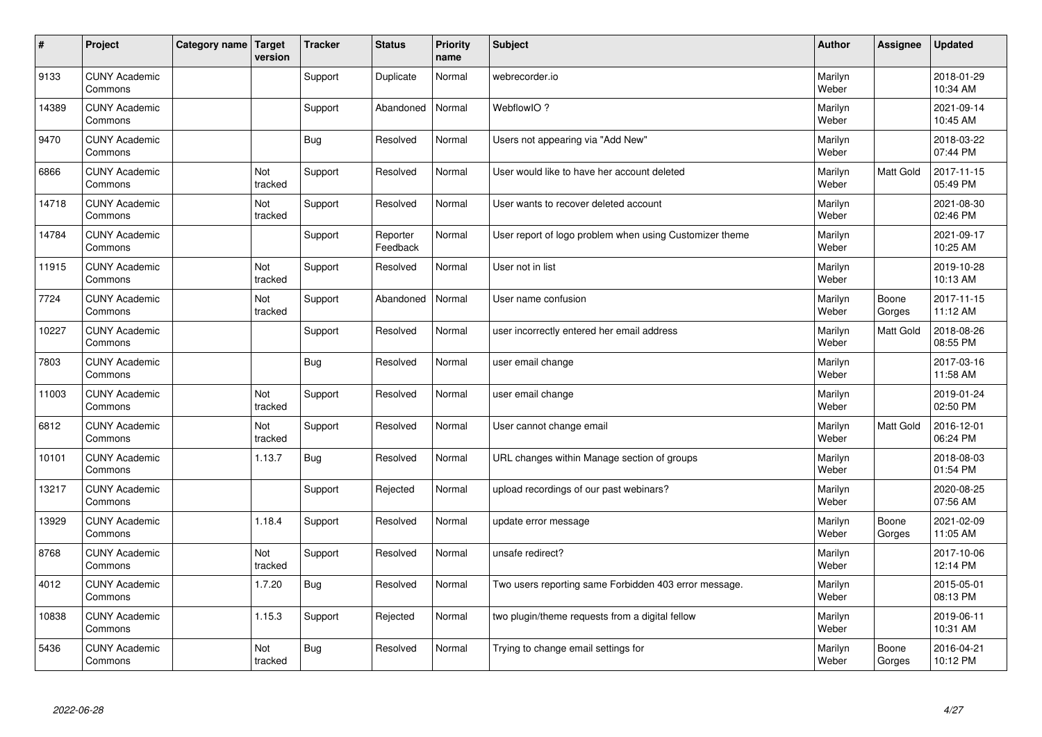| #     | Project                         | Category name   Target | version               | <b>Tracker</b> | <b>Status</b>        | <b>Priority</b><br>name | <b>Subject</b>                                          | <b>Author</b>    | Assignee        | <b>Updated</b>         |
|-------|---------------------------------|------------------------|-----------------------|----------------|----------------------|-------------------------|---------------------------------------------------------|------------------|-----------------|------------------------|
| 9133  | <b>CUNY Academic</b><br>Commons |                        |                       | Support        | Duplicate            | Normal                  | webrecorder.io                                          | Marilyn<br>Weber |                 | 2018-01-29<br>10:34 AM |
| 14389 | <b>CUNY Academic</b><br>Commons |                        |                       | Support        | Abandoned            | Normal                  | WebflowIO?                                              | Marilyn<br>Weber |                 | 2021-09-14<br>10:45 AM |
| 9470  | <b>CUNY Academic</b><br>Commons |                        |                       | Bug            | Resolved             | Normal                  | Users not appearing via "Add New"                       | Marilyn<br>Weber |                 | 2018-03-22<br>07:44 PM |
| 6866  | <b>CUNY Academic</b><br>Commons |                        | <b>Not</b><br>tracked | Support        | Resolved             | Normal                  | User would like to have her account deleted             | Marilyn<br>Weber | Matt Gold       | 2017-11-15<br>05:49 PM |
| 14718 | <b>CUNY Academic</b><br>Commons |                        | Not<br>tracked        | Support        | Resolved             | Normal                  | User wants to recover deleted account                   | Marilyn<br>Weber |                 | 2021-08-30<br>02:46 PM |
| 14784 | <b>CUNY Academic</b><br>Commons |                        |                       | Support        | Reporter<br>Feedback | Normal                  | User report of logo problem when using Customizer theme | Marilyn<br>Weber |                 | 2021-09-17<br>10:25 AM |
| 11915 | <b>CUNY Academic</b><br>Commons |                        | Not<br>tracked        | Support        | Resolved             | Normal                  | User not in list                                        | Marilyn<br>Weber |                 | 2019-10-28<br>10:13 AM |
| 7724  | <b>CUNY Academic</b><br>Commons |                        | Not<br>tracked        | Support        | Abandoned            | Normal                  | User name confusion                                     | Marilyn<br>Weber | Boone<br>Gorges | 2017-11-15<br>11:12 AM |
| 10227 | <b>CUNY Academic</b><br>Commons |                        |                       | Support        | Resolved             | Normal                  | user incorrectly entered her email address              | Marilyn<br>Weber | Matt Gold       | 2018-08-26<br>08:55 PM |
| 7803  | <b>CUNY Academic</b><br>Commons |                        |                       | Bug            | Resolved             | Normal                  | user email change                                       | Marilyn<br>Weber |                 | 2017-03-16<br>11:58 AM |
| 11003 | <b>CUNY Academic</b><br>Commons |                        | Not<br>tracked        | Support        | Resolved             | Normal                  | user email change                                       | Marilyn<br>Weber |                 | 2019-01-24<br>02:50 PM |
| 6812  | <b>CUNY Academic</b><br>Commons |                        | Not<br>tracked        | Support        | Resolved             | Normal                  | User cannot change email                                | Marilyn<br>Weber | Matt Gold       | 2016-12-01<br>06:24 PM |
| 10101 | <b>CUNY Academic</b><br>Commons |                        | 1.13.7                | <b>Bug</b>     | Resolved             | Normal                  | URL changes within Manage section of groups             | Marilyn<br>Weber |                 | 2018-08-03<br>01:54 PM |
| 13217 | <b>CUNY Academic</b><br>Commons |                        |                       | Support        | Rejected             | Normal                  | upload recordings of our past webinars?                 | Marilyn<br>Weber |                 | 2020-08-25<br>07:56 AM |
| 13929 | <b>CUNY Academic</b><br>Commons |                        | 1.18.4                | Support        | Resolved             | Normal                  | update error message                                    | Marilyn<br>Weber | Boone<br>Gorges | 2021-02-09<br>11:05 AM |
| 8768  | <b>CUNY Academic</b><br>Commons |                        | Not<br>tracked        | Support        | Resolved             | Normal                  | unsafe redirect?                                        | Marilyn<br>Weber |                 | 2017-10-06<br>12:14 PM |
| 4012  | <b>CUNY Academic</b><br>Commons |                        | 1.7.20                | <b>Bug</b>     | Resolved             | Normal                  | Two users reporting same Forbidden 403 error message.   | Marilyn<br>Weber |                 | 2015-05-01<br>08:13 PM |
| 10838 | <b>CUNY Academic</b><br>Commons |                        | 1.15.3                | Support        | Rejected             | Normal                  | two plugin/theme requests from a digital fellow         | Marilyn<br>Weber |                 | 2019-06-11<br>10:31 AM |
| 5436  | <b>CUNY Academic</b><br>Commons |                        | Not<br>tracked        | Bug            | Resolved             | Normal                  | Trying to change email settings for                     | Marilyn<br>Weber | Boone<br>Gorges | 2016-04-21<br>10:12 PM |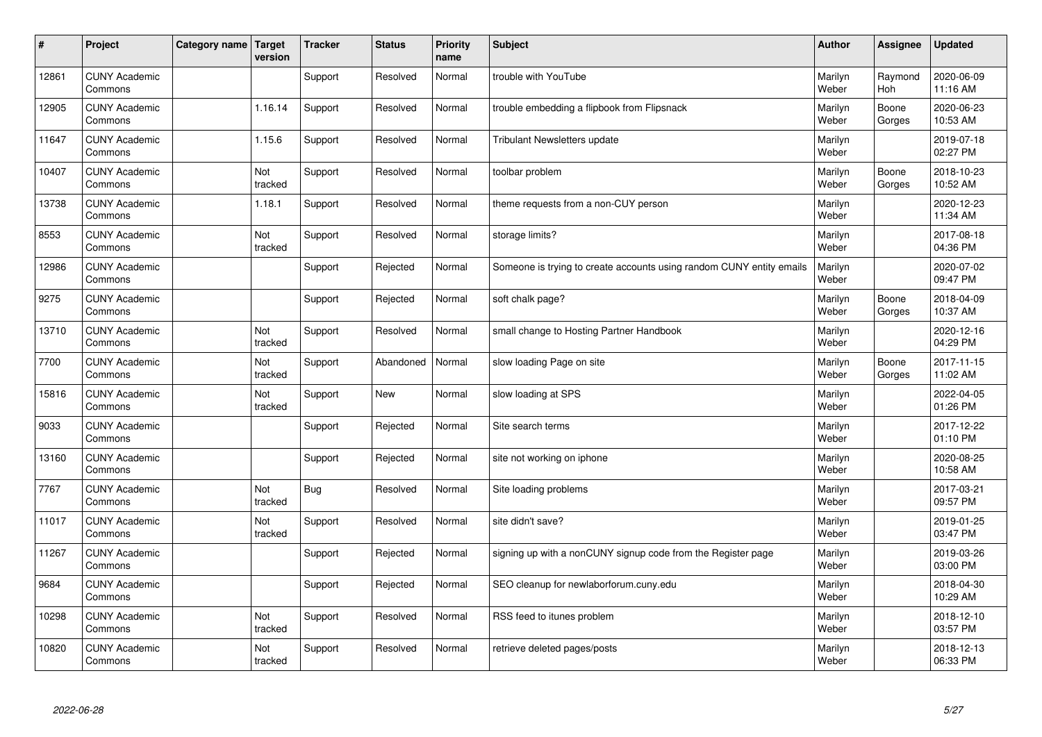| $\sharp$ | Project                         | Category name   Target | version        | <b>Tracker</b> | <b>Status</b> | <b>Priority</b><br>name | <b>Subject</b>                                                       | <b>Author</b>    | Assignee              | <b>Updated</b>         |
|----------|---------------------------------|------------------------|----------------|----------------|---------------|-------------------------|----------------------------------------------------------------------|------------------|-----------------------|------------------------|
| 12861    | <b>CUNY Academic</b><br>Commons |                        |                | Support        | Resolved      | Normal                  | trouble with YouTube                                                 | Marilyn<br>Weber | Raymond<br><b>Hoh</b> | 2020-06-09<br>11:16 AM |
| 12905    | <b>CUNY Academic</b><br>Commons |                        | 1.16.14        | Support        | Resolved      | Normal                  | trouble embedding a flipbook from Flipsnack                          | Marilyn<br>Weber | Boone<br>Gorges       | 2020-06-23<br>10:53 AM |
| 11647    | <b>CUNY Academic</b><br>Commons |                        | 1.15.6         | Support        | Resolved      | Normal                  | <b>Tribulant Newsletters update</b>                                  | Marilyn<br>Weber |                       | 2019-07-18<br>02:27 PM |
| 10407    | <b>CUNY Academic</b><br>Commons |                        | Not<br>tracked | Support        | Resolved      | Normal                  | toolbar problem                                                      | Marilyn<br>Weber | Boone<br>Gorges       | 2018-10-23<br>10:52 AM |
| 13738    | <b>CUNY Academic</b><br>Commons |                        | 1.18.1         | Support        | Resolved      | Normal                  | theme requests from a non-CUY person                                 | Marilyn<br>Weber |                       | 2020-12-23<br>11:34 AM |
| 8553     | <b>CUNY Academic</b><br>Commons |                        | Not<br>tracked | Support        | Resolved      | Normal                  | storage limits?                                                      | Marilyn<br>Weber |                       | 2017-08-18<br>04:36 PM |
| 12986    | <b>CUNY Academic</b><br>Commons |                        |                | Support        | Rejected      | Normal                  | Someone is trying to create accounts using random CUNY entity emails | Marilyn<br>Weber |                       | 2020-07-02<br>09:47 PM |
| 9275     | <b>CUNY Academic</b><br>Commons |                        |                | Support        | Rejected      | Normal                  | soft chalk page?                                                     | Marilyn<br>Weber | Boone<br>Gorges       | 2018-04-09<br>10:37 AM |
| 13710    | <b>CUNY Academic</b><br>Commons |                        | Not<br>tracked | Support        | Resolved      | Normal                  | small change to Hosting Partner Handbook                             | Marilyn<br>Weber |                       | 2020-12-16<br>04:29 PM |
| 7700     | <b>CUNY Academic</b><br>Commons |                        | Not<br>tracked | Support        | Abandoned     | Normal                  | slow loading Page on site                                            | Marilyn<br>Weber | Boone<br>Gorges       | 2017-11-15<br>11:02 AM |
| 15816    | <b>CUNY Academic</b><br>Commons |                        | Not<br>tracked | Support        | New           | Normal                  | slow loading at SPS                                                  | Marilyn<br>Weber |                       | 2022-04-05<br>01:26 PM |
| 9033     | <b>CUNY Academic</b><br>Commons |                        |                | Support        | Rejected      | Normal                  | Site search terms                                                    | Marilyn<br>Weber |                       | 2017-12-22<br>01:10 PM |
| 13160    | <b>CUNY Academic</b><br>Commons |                        |                | Support        | Rejected      | Normal                  | site not working on iphone                                           | Marilyn<br>Weber |                       | 2020-08-25<br>10:58 AM |
| 7767     | <b>CUNY Academic</b><br>Commons |                        | Not<br>tracked | Bug            | Resolved      | Normal                  | Site loading problems                                                | Marilyn<br>Weber |                       | 2017-03-21<br>09:57 PM |
| 11017    | <b>CUNY Academic</b><br>Commons |                        | Not<br>tracked | Support        | Resolved      | Normal                  | site didn't save?                                                    | Marilyn<br>Weber |                       | 2019-01-25<br>03:47 PM |
| 11267    | <b>CUNY Academic</b><br>Commons |                        |                | Support        | Rejected      | Normal                  | signing up with a nonCUNY signup code from the Register page         | Marilyn<br>Weber |                       | 2019-03-26<br>03:00 PM |
| 9684     | <b>CUNY Academic</b><br>Commons |                        |                | Support        | Rejected      | Normal                  | SEO cleanup for newlaborforum.cuny.edu                               | Marilyn<br>Weber |                       | 2018-04-30<br>10:29 AM |
| 10298    | <b>CUNY Academic</b><br>Commons |                        | Not<br>tracked | Support        | Resolved      | Normal                  | RSS feed to itunes problem                                           | Marilyn<br>Weber |                       | 2018-12-10<br>03:57 PM |
| 10820    | <b>CUNY Academic</b><br>Commons |                        | Not<br>tracked | Support        | Resolved      | Normal                  | retrieve deleted pages/posts                                         | Marilyn<br>Weber |                       | 2018-12-13<br>06:33 PM |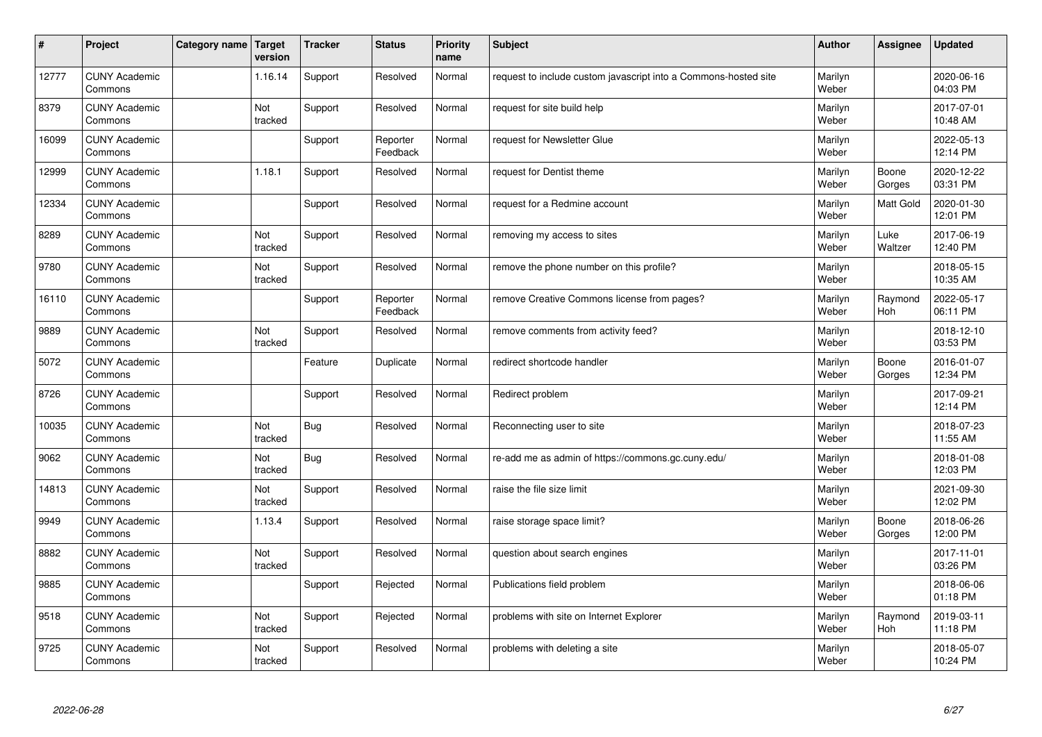| $\vert$ # | Project                         | Category name   Target | version        | <b>Tracker</b> | <b>Status</b>        | <b>Priority</b><br>name | <b>Subject</b>                                                  | <b>Author</b>    | <b>Assignee</b> | <b>Updated</b>         |
|-----------|---------------------------------|------------------------|----------------|----------------|----------------------|-------------------------|-----------------------------------------------------------------|------------------|-----------------|------------------------|
| 12777     | <b>CUNY Academic</b><br>Commons |                        | 1.16.14        | Support        | Resolved             | Normal                  | request to include custom javascript into a Commons-hosted site | Marilyn<br>Weber |                 | 2020-06-16<br>04:03 PM |
| 8379      | <b>CUNY Academic</b><br>Commons |                        | Not<br>tracked | Support        | Resolved             | Normal                  | request for site build help                                     | Marilyn<br>Weber |                 | 2017-07-01<br>10:48 AM |
| 16099     | <b>CUNY Academic</b><br>Commons |                        |                | Support        | Reporter<br>Feedback | Normal                  | request for Newsletter Glue                                     | Marilyn<br>Weber |                 | 2022-05-13<br>12:14 PM |
| 12999     | <b>CUNY Academic</b><br>Commons |                        | 1.18.1         | Support        | Resolved             | Normal                  | request for Dentist theme                                       | Marilyn<br>Weber | Boone<br>Gorges | 2020-12-22<br>03:31 PM |
| 12334     | <b>CUNY Academic</b><br>Commons |                        |                | Support        | Resolved             | Normal                  | request for a Redmine account                                   | Marilyn<br>Weber | Matt Gold       | 2020-01-30<br>12:01 PM |
| 8289      | <b>CUNY Academic</b><br>Commons |                        | Not<br>tracked | Support        | Resolved             | Normal                  | removing my access to sites                                     | Marilyn<br>Weber | Luke<br>Waltzer | 2017-06-19<br>12:40 PM |
| 9780      | <b>CUNY Academic</b><br>Commons |                        | Not<br>tracked | Support        | Resolved             | Normal                  | remove the phone number on this profile?                        | Marilyn<br>Weber |                 | 2018-05-15<br>10:35 AM |
| 16110     | <b>CUNY Academic</b><br>Commons |                        |                | Support        | Reporter<br>Feedback | Normal                  | remove Creative Commons license from pages?                     | Marilyn<br>Weber | Raymond<br>Hoh  | 2022-05-17<br>06:11 PM |
| 9889      | <b>CUNY Academic</b><br>Commons |                        | Not<br>tracked | Support        | Resolved             | Normal                  | remove comments from activity feed?                             | Marilyn<br>Weber |                 | 2018-12-10<br>03:53 PM |
| 5072      | <b>CUNY Academic</b><br>Commons |                        |                | Feature        | Duplicate            | Normal                  | redirect shortcode handler                                      | Marilyn<br>Weber | Boone<br>Gorges | 2016-01-07<br>12:34 PM |
| 8726      | <b>CUNY Academic</b><br>Commons |                        |                | Support        | Resolved             | Normal                  | Redirect problem                                                | Marilyn<br>Weber |                 | 2017-09-21<br>12:14 PM |
| 10035     | <b>CUNY Academic</b><br>Commons |                        | Not<br>tracked | <b>Bug</b>     | Resolved             | Normal                  | Reconnecting user to site                                       | Marilyn<br>Weber |                 | 2018-07-23<br>11:55 AM |
| 9062      | <b>CUNY Academic</b><br>Commons |                        | Not<br>tracked | Bug            | Resolved             | Normal                  | re-add me as admin of https://commons.gc.cuny.edu/              | Marilyn<br>Weber |                 | 2018-01-08<br>12:03 PM |
| 14813     | <b>CUNY Academic</b><br>Commons |                        | Not<br>tracked | Support        | Resolved             | Normal                  | raise the file size limit                                       | Marilyn<br>Weber |                 | 2021-09-30<br>12:02 PM |
| 9949      | <b>CUNY Academic</b><br>Commons |                        | 1.13.4         | Support        | Resolved             | Normal                  | raise storage space limit?                                      | Marilyn<br>Weber | Boone<br>Gorges | 2018-06-26<br>12:00 PM |
| 8882      | <b>CUNY Academic</b><br>Commons |                        | Not<br>tracked | Support        | Resolved             | Normal                  | question about search engines                                   | Marilyn<br>Weber |                 | 2017-11-01<br>03:26 PM |
| 9885      | <b>CUNY Academic</b><br>Commons |                        |                | Support        | Rejected             | Normal                  | Publications field problem                                      | Marilyn<br>Weber |                 | 2018-06-06<br>01:18 PM |
| 9518      | <b>CUNY Academic</b><br>Commons |                        | Not<br>tracked | Support        | Rejected             | Normal                  | problems with site on Internet Explorer                         | Marilyn<br>Weber | Raymond<br>Hoh  | 2019-03-11<br>11:18 PM |
| 9725      | <b>CUNY Academic</b><br>Commons |                        | Not<br>tracked | Support        | Resolved             | Normal                  | problems with deleting a site                                   | Marilyn<br>Weber |                 | 2018-05-07<br>10:24 PM |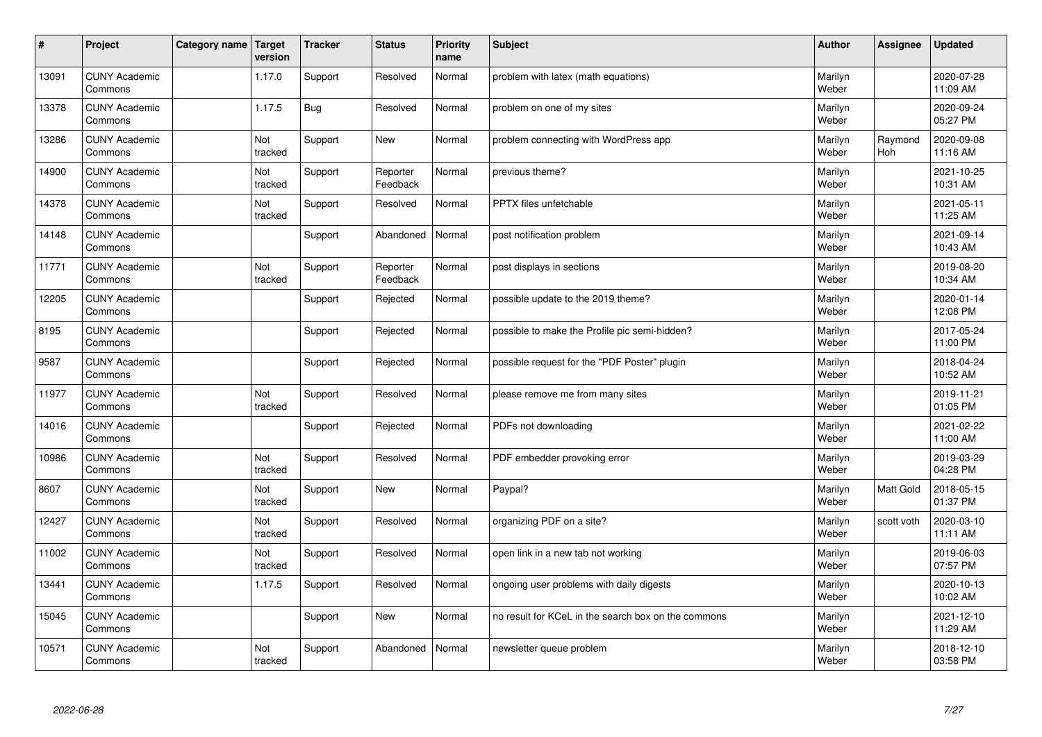| #     | Project                         | Category name   Target | version        | <b>Tracker</b> | <b>Status</b>        | <b>Priority</b><br>name | <b>Subject</b>                                      | <b>Author</b>    | Assignee       | <b>Updated</b>         |
|-------|---------------------------------|------------------------|----------------|----------------|----------------------|-------------------------|-----------------------------------------------------|------------------|----------------|------------------------|
| 13091 | <b>CUNY Academic</b><br>Commons |                        | 1.17.0         | Support        | Resolved             | Normal                  | problem with latex (math equations)                 | Marilyn<br>Weber |                | 2020-07-28<br>11:09 AM |
| 13378 | <b>CUNY Academic</b><br>Commons |                        | 1.17.5         | <b>Bug</b>     | Resolved             | Normal                  | problem on one of my sites                          | Marilyn<br>Weber |                | 2020-09-24<br>05:27 PM |
| 13286 | <b>CUNY Academic</b><br>Commons |                        | Not<br>tracked | Support        | <b>New</b>           | Normal                  | problem connecting with WordPress app               | Marilyn<br>Weber | Raymond<br>Hoh | 2020-09-08<br>11:16 AM |
| 14900 | <b>CUNY Academic</b><br>Commons |                        | Not<br>tracked | Support        | Reporter<br>Feedback | Normal                  | previous theme?                                     | Marilyn<br>Weber |                | 2021-10-25<br>10:31 AM |
| 14378 | <b>CUNY Academic</b><br>Commons |                        | Not<br>tracked | Support        | Resolved             | Normal                  | <b>PPTX</b> files unfetchable                       | Marilyn<br>Weber |                | 2021-05-11<br>11:25 AM |
| 14148 | <b>CUNY Academic</b><br>Commons |                        |                | Support        | Abandoned            | Normal                  | post notification problem                           | Marilyn<br>Weber |                | 2021-09-14<br>10:43 AM |
| 11771 | <b>CUNY Academic</b><br>Commons |                        | Not<br>tracked | Support        | Reporter<br>Feedback | Normal                  | post displays in sections                           | Marilyn<br>Weber |                | 2019-08-20<br>10:34 AM |
| 12205 | <b>CUNY Academic</b><br>Commons |                        |                | Support        | Rejected             | Normal                  | possible update to the 2019 theme?                  | Marilyn<br>Weber |                | 2020-01-14<br>12:08 PM |
| 8195  | <b>CUNY Academic</b><br>Commons |                        |                | Support        | Rejected             | Normal                  | possible to make the Profile pic semi-hidden?       | Marilyn<br>Weber |                | 2017-05-24<br>11:00 PM |
| 9587  | <b>CUNY Academic</b><br>Commons |                        |                | Support        | Rejected             | Normal                  | possible request for the "PDF Poster" plugin        | Marilyn<br>Weber |                | 2018-04-24<br>10:52 AM |
| 11977 | <b>CUNY Academic</b><br>Commons |                        | Not<br>tracked | Support        | Resolved             | Normal                  | please remove me from many sites                    | Marilyn<br>Weber |                | 2019-11-21<br>01:05 PM |
| 14016 | <b>CUNY Academic</b><br>Commons |                        |                | Support        | Rejected             | Normal                  | PDFs not downloading                                | Marilyn<br>Weber |                | 2021-02-22<br>11:00 AM |
| 10986 | <b>CUNY Academic</b><br>Commons |                        | Not<br>tracked | Support        | Resolved             | Normal                  | PDF embedder provoking error                        | Marilyn<br>Weber |                | 2019-03-29<br>04:28 PM |
| 8607  | <b>CUNY Academic</b><br>Commons |                        | Not<br>tracked | Support        | <b>New</b>           | Normal                  | Paypal?                                             | Marilyn<br>Weber | Matt Gold      | 2018-05-15<br>01:37 PM |
| 12427 | <b>CUNY Academic</b><br>Commons |                        | Not<br>tracked | Support        | Resolved             | Normal                  | organizing PDF on a site?                           | Marilyn<br>Weber | scott voth     | 2020-03-10<br>11:11 AM |
| 11002 | <b>CUNY Academic</b><br>Commons |                        | Not<br>tracked | Support        | Resolved             | Normal                  | open link in a new tab not working                  | Marilyn<br>Weber |                | 2019-06-03<br>07:57 PM |
| 13441 | <b>CUNY Academic</b><br>Commons |                        | 1.17.5         | Support        | Resolved             | Normal                  | ongoing user problems with daily digests            | Marilyn<br>Weber |                | 2020-10-13<br>10:02 AM |
| 15045 | <b>CUNY Academic</b><br>Commons |                        |                | Support        | <b>New</b>           | Normal                  | no result for KCeL in the search box on the commons | Marilyn<br>Weber |                | 2021-12-10<br>11:29 AM |
| 10571 | <b>CUNY Academic</b><br>Commons |                        | Not<br>tracked | Support        | Abandoned            | Normal                  | newsletter queue problem                            | Marilyn<br>Weber |                | 2018-12-10<br>03:58 PM |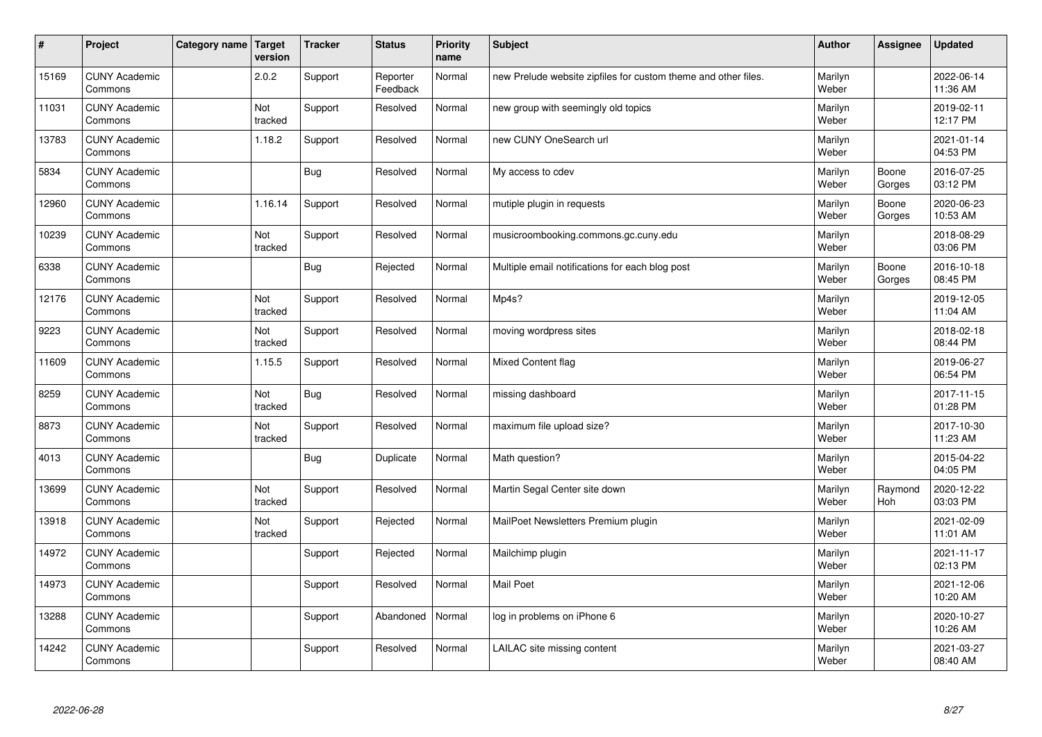| $\sharp$ | Project                         | Category name   Target | version        | <b>Tracker</b> | <b>Status</b>        | <b>Priority</b><br>name | <b>Subject</b>                                                 | <b>Author</b>    | <b>Assignee</b> | <b>Updated</b>         |
|----------|---------------------------------|------------------------|----------------|----------------|----------------------|-------------------------|----------------------------------------------------------------|------------------|-----------------|------------------------|
| 15169    | <b>CUNY Academic</b><br>Commons |                        | 2.0.2          | Support        | Reporter<br>Feedback | Normal                  | new Prelude website zipfiles for custom theme and other files. | Marilyn<br>Weber |                 | 2022-06-14<br>11:36 AM |
| 11031    | <b>CUNY Academic</b><br>Commons |                        | Not<br>tracked | Support        | Resolved             | Normal                  | new group with seemingly old topics                            | Marilyn<br>Weber |                 | 2019-02-11<br>12:17 PM |
| 13783    | <b>CUNY Academic</b><br>Commons |                        | 1.18.2         | Support        | Resolved             | Normal                  | new CUNY OneSearch url                                         | Marilyn<br>Weber |                 | 2021-01-14<br>04:53 PM |
| 5834     | <b>CUNY Academic</b><br>Commons |                        |                | Bug            | Resolved             | Normal                  | My access to cdev                                              | Marilyn<br>Weber | Boone<br>Gorges | 2016-07-25<br>03:12 PM |
| 12960    | <b>CUNY Academic</b><br>Commons |                        | 1.16.14        | Support        | Resolved             | Normal                  | mutiple plugin in requests                                     | Marilyn<br>Weber | Boone<br>Gorges | 2020-06-23<br>10:53 AM |
| 10239    | <b>CUNY Academic</b><br>Commons |                        | Not<br>tracked | Support        | Resolved             | Normal                  | musicroombooking.commons.gc.cuny.edu                           | Marilyn<br>Weber |                 | 2018-08-29<br>03:06 PM |
| 6338     | <b>CUNY Academic</b><br>Commons |                        |                | Bug            | Rejected             | Normal                  | Multiple email notifications for each blog post                | Marilyn<br>Weber | Boone<br>Gorges | 2016-10-18<br>08:45 PM |
| 12176    | <b>CUNY Academic</b><br>Commons |                        | Not<br>tracked | Support        | Resolved             | Normal                  | Mp4s?                                                          | Marilyn<br>Weber |                 | 2019-12-05<br>11:04 AM |
| 9223     | <b>CUNY Academic</b><br>Commons |                        | Not<br>tracked | Support        | Resolved             | Normal                  | moving wordpress sites                                         | Marilyn<br>Weber |                 | 2018-02-18<br>08:44 PM |
| 11609    | <b>CUNY Academic</b><br>Commons |                        | 1.15.5         | Support        | Resolved             | Normal                  | Mixed Content flag                                             | Marilyn<br>Weber |                 | 2019-06-27<br>06:54 PM |
| 8259     | <b>CUNY Academic</b><br>Commons |                        | Not<br>tracked | Bug            | Resolved             | Normal                  | missing dashboard                                              | Marilyn<br>Weber |                 | 2017-11-15<br>01:28 PM |
| 8873     | <b>CUNY Academic</b><br>Commons |                        | Not<br>tracked | Support        | Resolved             | Normal                  | maximum file upload size?                                      | Marilyn<br>Weber |                 | 2017-10-30<br>11:23 AM |
| 4013     | <b>CUNY Academic</b><br>Commons |                        |                | <b>Bug</b>     | Duplicate            | Normal                  | Math question?                                                 | Marilyn<br>Weber |                 | 2015-04-22<br>04:05 PM |
| 13699    | <b>CUNY Academic</b><br>Commons |                        | Not<br>tracked | Support        | Resolved             | Normal                  | Martin Segal Center site down                                  | Marilyn<br>Weber | Raymond<br>Hoh  | 2020-12-22<br>03:03 PM |
| 13918    | <b>CUNY Academic</b><br>Commons |                        | Not<br>tracked | Support        | Rejected             | Normal                  | MailPoet Newsletters Premium plugin                            | Marilyn<br>Weber |                 | 2021-02-09<br>11:01 AM |
| 14972    | <b>CUNY Academic</b><br>Commons |                        |                | Support        | Rejected             | Normal                  | Mailchimp plugin                                               | Marilyn<br>Weber |                 | 2021-11-17<br>02:13 PM |
| 14973    | <b>CUNY Academic</b><br>Commons |                        |                | Support        | Resolved             | Normal                  | <b>Mail Poet</b>                                               | Marilyn<br>Weber |                 | 2021-12-06<br>10:20 AM |
| 13288    | <b>CUNY Academic</b><br>Commons |                        |                | Support        | Abandoned            | Normal                  | log in problems on iPhone 6                                    | Marilyn<br>Weber |                 | 2020-10-27<br>10:26 AM |
| 14242    | <b>CUNY Academic</b><br>Commons |                        |                | Support        | Resolved             | Normal                  | LAILAC site missing content                                    | Marilyn<br>Weber |                 | 2021-03-27<br>08:40 AM |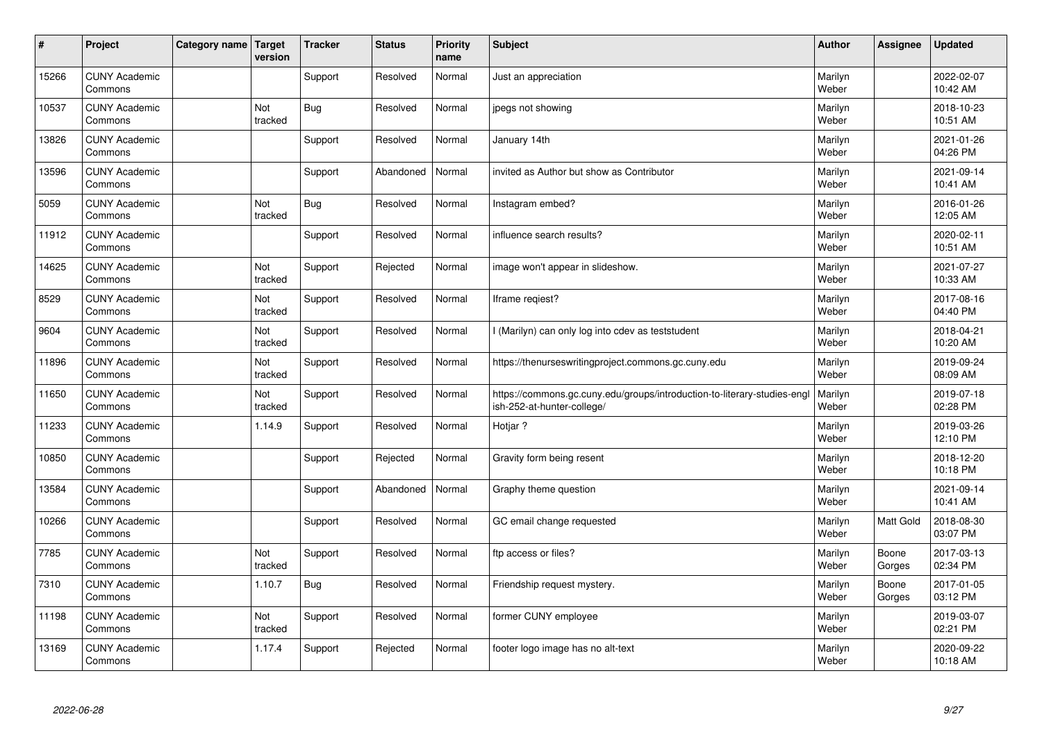| $\sharp$ | Project                         | Category name   Target | version        | <b>Tracker</b> | <b>Status</b> | <b>Priority</b><br>name | <b>Subject</b>                                                                                         | <b>Author</b>    | Assignee        | <b>Updated</b>         |
|----------|---------------------------------|------------------------|----------------|----------------|---------------|-------------------------|--------------------------------------------------------------------------------------------------------|------------------|-----------------|------------------------|
| 15266    | <b>CUNY Academic</b><br>Commons |                        |                | Support        | Resolved      | Normal                  | Just an appreciation                                                                                   | Marilyn<br>Weber |                 | 2022-02-07<br>10:42 AM |
| 10537    | <b>CUNY Academic</b><br>Commons |                        | Not<br>tracked | <b>Bug</b>     | Resolved      | Normal                  | jpegs not showing                                                                                      | Marilyn<br>Weber |                 | 2018-10-23<br>10:51 AM |
| 13826    | <b>CUNY Academic</b><br>Commons |                        |                | Support        | Resolved      | Normal                  | January 14th                                                                                           | Marilyn<br>Weber |                 | 2021-01-26<br>04:26 PM |
| 13596    | <b>CUNY Academic</b><br>Commons |                        |                | Support        | Abandoned     | Normal                  | invited as Author but show as Contributor                                                              | Marilyn<br>Weber |                 | 2021-09-14<br>10:41 AM |
| 5059     | <b>CUNY Academic</b><br>Commons |                        | Not<br>tracked | <b>Bug</b>     | Resolved      | Normal                  | Instagram embed?                                                                                       | Marilyn<br>Weber |                 | 2016-01-26<br>12:05 AM |
| 11912    | <b>CUNY Academic</b><br>Commons |                        |                | Support        | Resolved      | Normal                  | influence search results?                                                                              | Marilyn<br>Weber |                 | 2020-02-11<br>10:51 AM |
| 14625    | <b>CUNY Academic</b><br>Commons |                        | Not<br>tracked | Support        | Rejected      | Normal                  | image won't appear in slideshow.                                                                       | Marilyn<br>Weber |                 | 2021-07-27<br>10:33 AM |
| 8529     | <b>CUNY Academic</b><br>Commons |                        | Not<br>tracked | Support        | Resolved      | Normal                  | Iframe regiest?                                                                                        | Marilyn<br>Weber |                 | 2017-08-16<br>04:40 PM |
| 9604     | <b>CUNY Academic</b><br>Commons |                        | Not<br>tracked | Support        | Resolved      | Normal                  | I (Marilyn) can only log into cdev as teststudent                                                      | Marilyn<br>Weber |                 | 2018-04-21<br>10:20 AM |
| 11896    | <b>CUNY Academic</b><br>Commons |                        | Not<br>tracked | Support        | Resolved      | Normal                  | https://thenurseswritingproject.commons.gc.cuny.edu                                                    | Marilyn<br>Weber |                 | 2019-09-24<br>08:09 AM |
| 11650    | <b>CUNY Academic</b><br>Commons |                        | Not<br>tracked | Support        | Resolved      | Normal                  | https://commons.gc.cuny.edu/groups/introduction-to-literary-studies-engl<br>ish-252-at-hunter-college/ | Marilyn<br>Weber |                 | 2019-07-18<br>02:28 PM |
| 11233    | <b>CUNY Academic</b><br>Commons |                        | 1.14.9         | Support        | Resolved      | Normal                  | Hotjar?                                                                                                | Marilyn<br>Weber |                 | 2019-03-26<br>12:10 PM |
| 10850    | <b>CUNY Academic</b><br>Commons |                        |                | Support        | Rejected      | Normal                  | Gravity form being resent                                                                              | Marilyn<br>Weber |                 | 2018-12-20<br>10:18 PM |
| 13584    | <b>CUNY Academic</b><br>Commons |                        |                | Support        | Abandoned     | Normal                  | Graphy theme question                                                                                  | Marilyn<br>Weber |                 | 2021-09-14<br>10:41 AM |
| 10266    | <b>CUNY Academic</b><br>Commons |                        |                | Support        | Resolved      | Normal                  | GC email change requested                                                                              | Marilyn<br>Weber | Matt Gold       | 2018-08-30<br>03:07 PM |
| 7785     | <b>CUNY Academic</b><br>Commons |                        | Not<br>tracked | Support        | Resolved      | Normal                  | ftp access or files?                                                                                   | Marilyn<br>Weber | Boone<br>Gorges | 2017-03-13<br>02:34 PM |
| 7310     | <b>CUNY Academic</b><br>Commons |                        | 1.10.7         | Bug            | Resolved      | Normal                  | Friendship request mystery.                                                                            | Marilyn<br>Weber | Boone<br>Gorges | 2017-01-05<br>03:12 PM |
| 11198    | <b>CUNY Academic</b><br>Commons |                        | Not<br>tracked | Support        | Resolved      | Normal                  | former CUNY employee                                                                                   | Marilyn<br>Weber |                 | 2019-03-07<br>02:21 PM |
| 13169    | <b>CUNY Academic</b><br>Commons |                        | 1.17.4         | Support        | Rejected      | Normal                  | footer logo image has no alt-text                                                                      | Marilyn<br>Weber |                 | 2020-09-22<br>10:18 AM |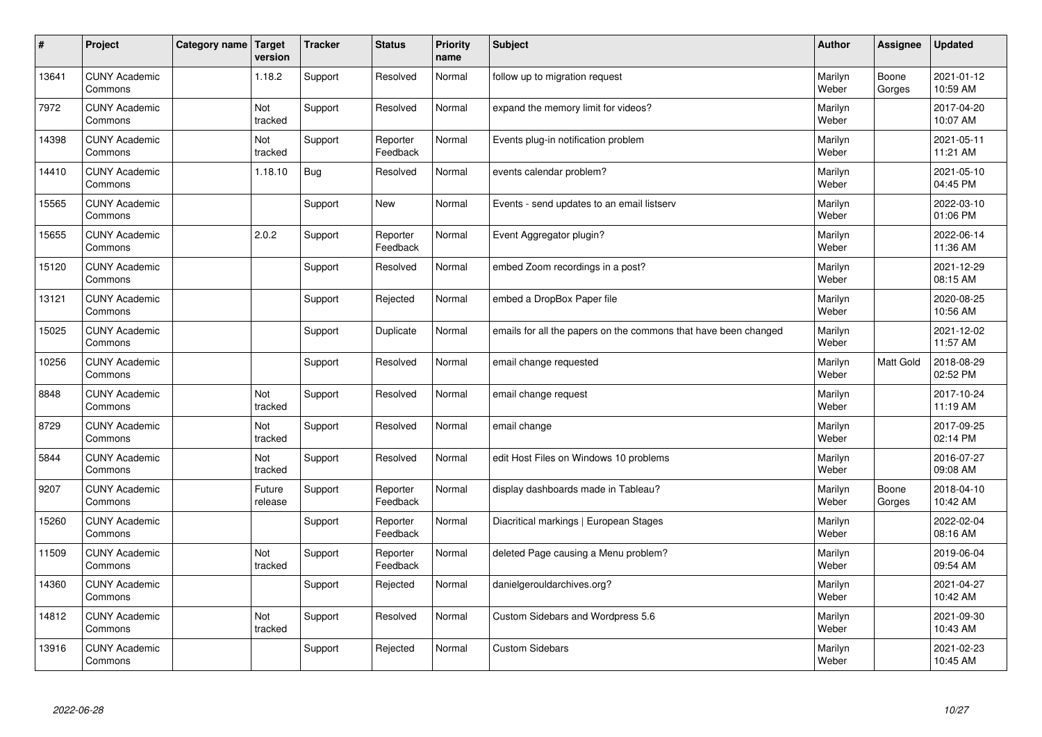| $\sharp$ | Project                         | Category name   Target | version           | <b>Tracker</b> | <b>Status</b>        | <b>Priority</b><br>name | <b>Subject</b>                                                  | <b>Author</b>    | Assignee         | <b>Updated</b>         |
|----------|---------------------------------|------------------------|-------------------|----------------|----------------------|-------------------------|-----------------------------------------------------------------|------------------|------------------|------------------------|
| 13641    | <b>CUNY Academic</b><br>Commons |                        | 1.18.2            | Support        | Resolved             | Normal                  | follow up to migration request                                  | Marilyn<br>Weber | Boone<br>Gorges  | 2021-01-12<br>10:59 AM |
| 7972     | <b>CUNY Academic</b><br>Commons |                        | Not<br>tracked    | Support        | Resolved             | Normal                  | expand the memory limit for videos?                             | Marilyn<br>Weber |                  | 2017-04-20<br>10:07 AM |
| 14398    | <b>CUNY Academic</b><br>Commons |                        | Not<br>tracked    | Support        | Reporter<br>Feedback | Normal                  | Events plug-in notification problem                             | Marilyn<br>Weber |                  | 2021-05-11<br>11:21 AM |
| 14410    | <b>CUNY Academic</b><br>Commons |                        | 1.18.10           | <b>Bug</b>     | Resolved             | Normal                  | events calendar problem?                                        | Marilyn<br>Weber |                  | 2021-05-10<br>04:45 PM |
| 15565    | <b>CUNY Academic</b><br>Commons |                        |                   | Support        | New                  | Normal                  | Events - send updates to an email listserv                      | Marilyn<br>Weber |                  | 2022-03-10<br>01:06 PM |
| 15655    | <b>CUNY Academic</b><br>Commons |                        | 2.0.2             | Support        | Reporter<br>Feedback | Normal                  | Event Aggregator plugin?                                        | Marilyn<br>Weber |                  | 2022-06-14<br>11:36 AM |
| 15120    | <b>CUNY Academic</b><br>Commons |                        |                   | Support        | Resolved             | Normal                  | embed Zoom recordings in a post?                                | Marilyn<br>Weber |                  | 2021-12-29<br>08:15 AM |
| 13121    | <b>CUNY Academic</b><br>Commons |                        |                   | Support        | Rejected             | Normal                  | embed a DropBox Paper file                                      | Marilyn<br>Weber |                  | 2020-08-25<br>10:56 AM |
| 15025    | <b>CUNY Academic</b><br>Commons |                        |                   | Support        | Duplicate            | Normal                  | emails for all the papers on the commons that have been changed | Marilyn<br>Weber |                  | 2021-12-02<br>11:57 AM |
| 10256    | <b>CUNY Academic</b><br>Commons |                        |                   | Support        | Resolved             | Normal                  | email change requested                                          | Marilyn<br>Weber | <b>Matt Gold</b> | 2018-08-29<br>02:52 PM |
| 8848     | <b>CUNY Academic</b><br>Commons |                        | Not<br>tracked    | Support        | Resolved             | Normal                  | email change request                                            | Marilyn<br>Weber |                  | 2017-10-24<br>11:19 AM |
| 8729     | <b>CUNY Academic</b><br>Commons |                        | Not<br>tracked    | Support        | Resolved             | Normal                  | email change                                                    | Marilyn<br>Weber |                  | 2017-09-25<br>02:14 PM |
| 5844     | <b>CUNY Academic</b><br>Commons |                        | Not<br>tracked    | Support        | Resolved             | Normal                  | edit Host Files on Windows 10 problems                          | Marilyn<br>Weber |                  | 2016-07-27<br>09:08 AM |
| 9207     | <b>CUNY Academic</b><br>Commons |                        | Future<br>release | Support        | Reporter<br>Feedback | Normal                  | display dashboards made in Tableau?                             | Marilyn<br>Weber | Boone<br>Gorges  | 2018-04-10<br>10:42 AM |
| 15260    | <b>CUNY Academic</b><br>Commons |                        |                   | Support        | Reporter<br>Feedback | Normal                  | Diacritical markings   European Stages                          | Marilyn<br>Weber |                  | 2022-02-04<br>08:16 AM |
| 11509    | <b>CUNY Academic</b><br>Commons |                        | Not<br>tracked    | Support        | Reporter<br>Feedback | Normal                  | deleted Page causing a Menu problem?                            | Marilyn<br>Weber |                  | 2019-06-04<br>09:54 AM |
| 14360    | <b>CUNY Academic</b><br>Commons |                        |                   | Support        | Rejected             | Normal                  | danielgerouldarchives.org?                                      | Marilyn<br>Weber |                  | 2021-04-27<br>10:42 AM |
| 14812    | <b>CUNY Academic</b><br>Commons |                        | Not<br>tracked    | Support        | Resolved             | Normal                  | Custom Sidebars and Wordpress 5.6                               | Marilyn<br>Weber |                  | 2021-09-30<br>10:43 AM |
| 13916    | <b>CUNY Academic</b><br>Commons |                        |                   | Support        | Rejected             | Normal                  | <b>Custom Sidebars</b>                                          | Marilyn<br>Weber |                  | 2021-02-23<br>10:45 AM |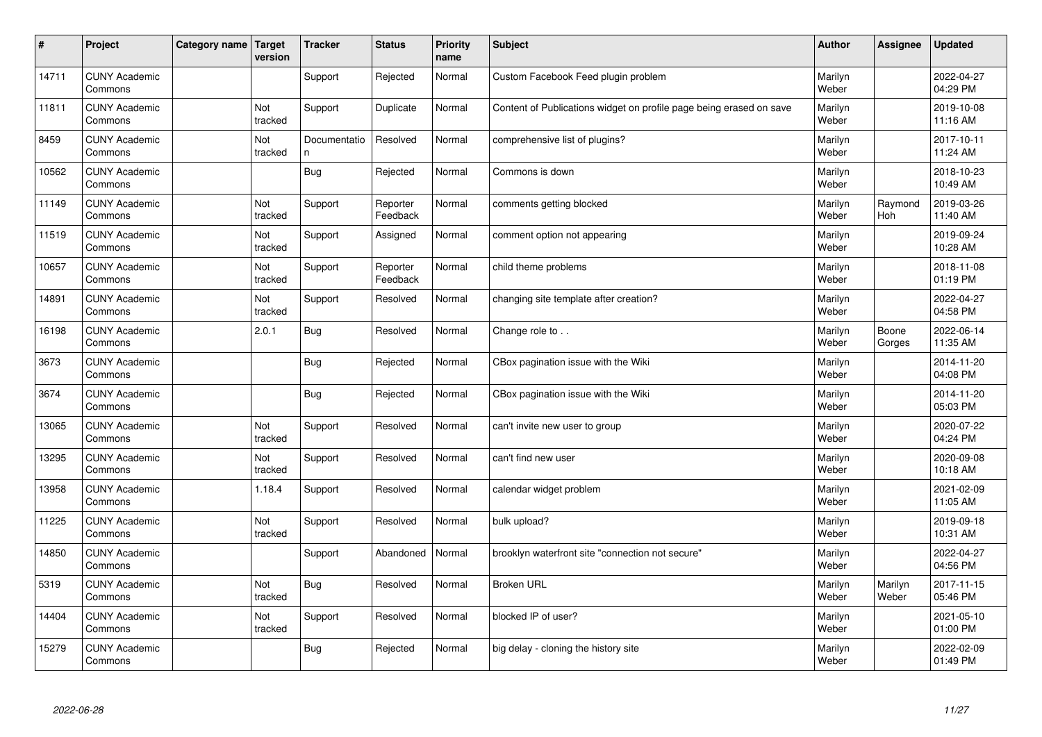| $\vert$ # | Project                         | Category name Target | version        | <b>Tracker</b>     | <b>Status</b>        | <b>Priority</b><br>name | <b>Subject</b>                                                      | <b>Author</b>    | Assignee         | <b>Updated</b>         |
|-----------|---------------------------------|----------------------|----------------|--------------------|----------------------|-------------------------|---------------------------------------------------------------------|------------------|------------------|------------------------|
| 14711     | <b>CUNY Academic</b><br>Commons |                      |                | Support            | Rejected             | Normal                  | Custom Facebook Feed plugin problem                                 | Marilyn<br>Weber |                  | 2022-04-27<br>04:29 PM |
| 11811     | <b>CUNY Academic</b><br>Commons |                      | Not<br>tracked | Support            | Duplicate            | Normal                  | Content of Publications widget on profile page being erased on save | Marilyn<br>Weber |                  | 2019-10-08<br>11:16 AM |
| 8459      | <b>CUNY Academic</b><br>Commons |                      | Not<br>tracked | Documentatio<br>n. | Resolved             | Normal                  | comprehensive list of plugins?                                      | Marilyn<br>Weber |                  | 2017-10-11<br>11:24 AM |
| 10562     | <b>CUNY Academic</b><br>Commons |                      |                | Bug                | Rejected             | Normal                  | Commons is down                                                     | Marilyn<br>Weber |                  | 2018-10-23<br>10:49 AM |
| 11149     | <b>CUNY Academic</b><br>Commons |                      | Not<br>tracked | Support            | Reporter<br>Feedback | Normal                  | comments getting blocked                                            | Marilyn<br>Weber | Raymond<br>Hoh   | 2019-03-26<br>11:40 AM |
| 11519     | <b>CUNY Academic</b><br>Commons |                      | Not<br>tracked | Support            | Assigned             | Normal                  | comment option not appearing                                        | Marilyn<br>Weber |                  | 2019-09-24<br>10:28 AM |
| 10657     | <b>CUNY Academic</b><br>Commons |                      | Not<br>tracked | Support            | Reporter<br>Feedback | Normal                  | child theme problems                                                | Marilyn<br>Weber |                  | 2018-11-08<br>01:19 PM |
| 14891     | <b>CUNY Academic</b><br>Commons |                      | Not<br>tracked | Support            | Resolved             | Normal                  | changing site template after creation?                              | Marilyn<br>Weber |                  | 2022-04-27<br>04:58 PM |
| 16198     | <b>CUNY Academic</b><br>Commons |                      | 2.0.1          | Bug                | Resolved             | Normal                  | Change role to                                                      | Marilyn<br>Weber | Boone<br>Gorges  | 2022-06-14<br>11:35 AM |
| 3673      | <b>CUNY Academic</b><br>Commons |                      |                | <b>Bug</b>         | Rejected             | Normal                  | CBox pagination issue with the Wiki                                 | Marilyn<br>Weber |                  | 2014-11-20<br>04:08 PM |
| 3674      | <b>CUNY Academic</b><br>Commons |                      |                | <b>Bug</b>         | Rejected             | Normal                  | CBox pagination issue with the Wiki                                 | Marilyn<br>Weber |                  | 2014-11-20<br>05:03 PM |
| 13065     | <b>CUNY Academic</b><br>Commons |                      | Not<br>tracked | Support            | Resolved             | Normal                  | can't invite new user to group                                      | Marilyn<br>Weber |                  | 2020-07-22<br>04:24 PM |
| 13295     | <b>CUNY Academic</b><br>Commons |                      | Not<br>tracked | Support            | Resolved             | Normal                  | can't find new user                                                 | Marilyn<br>Weber |                  | 2020-09-08<br>10:18 AM |
| 13958     | <b>CUNY Academic</b><br>Commons |                      | 1.18.4         | Support            | Resolved             | Normal                  | calendar widget problem                                             | Marilyn<br>Weber |                  | 2021-02-09<br>11:05 AM |
| 11225     | <b>CUNY Academic</b><br>Commons |                      | Not<br>tracked | Support            | Resolved             | Normal                  | bulk upload?                                                        | Marilyn<br>Weber |                  | 2019-09-18<br>10:31 AM |
| 14850     | <b>CUNY Academic</b><br>Commons |                      |                | Support            | Abandoned            | Normal                  | brooklyn waterfront site "connection not secure"                    | Marilyn<br>Weber |                  | 2022-04-27<br>04:56 PM |
| 5319      | <b>CUNY Academic</b><br>Commons |                      | Not<br>tracked | Bug                | Resolved             | Normal                  | <b>Broken URL</b>                                                   | Marilyn<br>Weber | Marilyn<br>Weber | 2017-11-15<br>05:46 PM |
| 14404     | <b>CUNY Academic</b><br>Commons |                      | Not<br>tracked | Support            | Resolved             | Normal                  | blocked IP of user?                                                 | Marilyn<br>Weber |                  | 2021-05-10<br>01:00 PM |
| 15279     | <b>CUNY Academic</b><br>Commons |                      |                | Bug                | Rejected             | Normal                  | big delay - cloning the history site                                | Marilyn<br>Weber |                  | 2022-02-09<br>01:49 PM |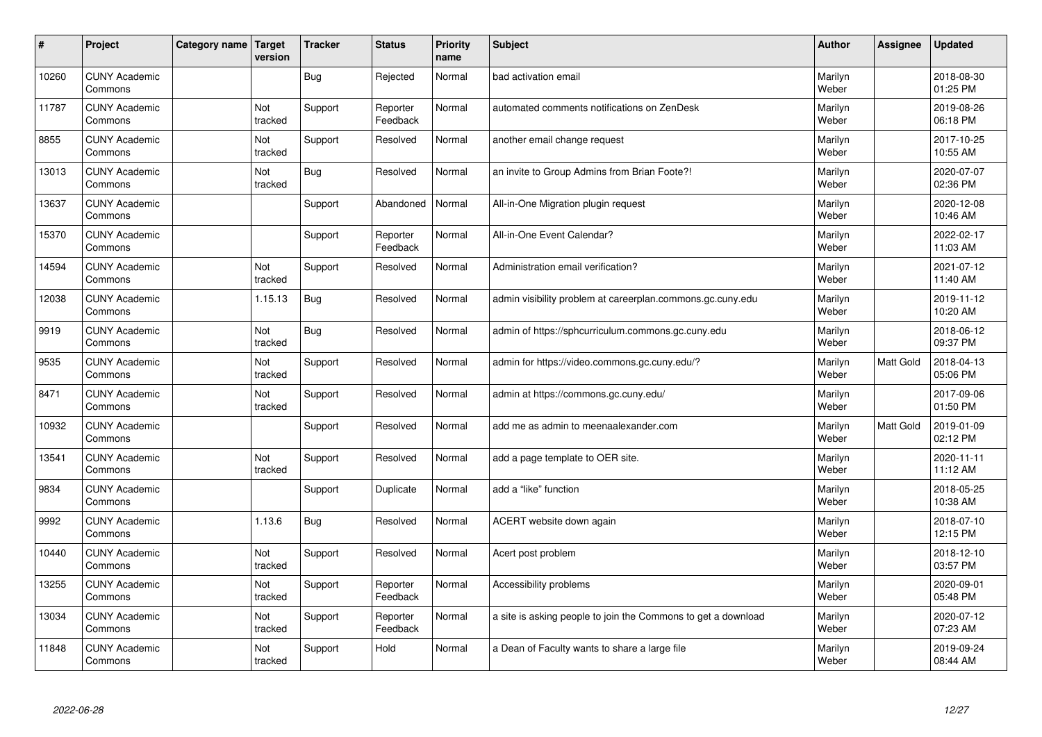| #     | Project                         | Category name   Target | version        | <b>Tracker</b> | <b>Status</b>        | <b>Priority</b><br>name | <b>Subject</b>                                                | <b>Author</b>    | Assignee         | <b>Updated</b>         |
|-------|---------------------------------|------------------------|----------------|----------------|----------------------|-------------------------|---------------------------------------------------------------|------------------|------------------|------------------------|
| 10260 | <b>CUNY Academic</b><br>Commons |                        |                | Bug            | Rejected             | Normal                  | bad activation email                                          | Marilyn<br>Weber |                  | 2018-08-30<br>01:25 PM |
| 11787 | <b>CUNY Academic</b><br>Commons |                        | Not<br>tracked | Support        | Reporter<br>Feedback | Normal                  | automated comments notifications on ZenDesk                   | Marilyn<br>Weber |                  | 2019-08-26<br>06:18 PM |
| 8855  | <b>CUNY Academic</b><br>Commons |                        | Not<br>tracked | Support        | Resolved             | Normal                  | another email change request                                  | Marilyn<br>Weber |                  | 2017-10-25<br>10:55 AM |
| 13013 | <b>CUNY Academic</b><br>Commons |                        | Not<br>tracked | Bug            | Resolved             | Normal                  | an invite to Group Admins from Brian Foote?!                  | Marilyn<br>Weber |                  | 2020-07-07<br>02:36 PM |
| 13637 | <b>CUNY Academic</b><br>Commons |                        |                | Support        | Abandoned            | Normal                  | All-in-One Migration plugin request                           | Marilyn<br>Weber |                  | 2020-12-08<br>10:46 AM |
| 15370 | <b>CUNY Academic</b><br>Commons |                        |                | Support        | Reporter<br>Feedback | Normal                  | All-in-One Event Calendar?                                    | Marilyn<br>Weber |                  | 2022-02-17<br>11:03 AM |
| 14594 | <b>CUNY Academic</b><br>Commons |                        | Not<br>tracked | Support        | Resolved             | Normal                  | Administration email verification?                            | Marilyn<br>Weber |                  | 2021-07-12<br>11:40 AM |
| 12038 | <b>CUNY Academic</b><br>Commons |                        | 1.15.13        | Bug            | Resolved             | Normal                  | admin visibility problem at careerplan.commons.gc.cuny.edu    | Marilyn<br>Weber |                  | 2019-11-12<br>10:20 AM |
| 9919  | <b>CUNY Academic</b><br>Commons |                        | Not<br>tracked | <b>Bug</b>     | Resolved             | Normal                  | admin of https://sphcurriculum.commons.gc.cuny.edu            | Marilyn<br>Weber |                  | 2018-06-12<br>09:37 PM |
| 9535  | <b>CUNY Academic</b><br>Commons |                        | Not<br>tracked | Support        | Resolved             | Normal                  | admin for https://video.commons.gc.cuny.edu/?                 | Marilyn<br>Weber | <b>Matt Gold</b> | 2018-04-13<br>05:06 PM |
| 8471  | <b>CUNY Academic</b><br>Commons |                        | Not<br>tracked | Support        | Resolved             | Normal                  | admin at https://commons.gc.cuny.edu/                         | Marilyn<br>Weber |                  | 2017-09-06<br>01:50 PM |
| 10932 | <b>CUNY Academic</b><br>Commons |                        |                | Support        | Resolved             | Normal                  | add me as admin to meenaalexander.com                         | Marilyn<br>Weber | Matt Gold        | 2019-01-09<br>02:12 PM |
| 13541 | <b>CUNY Academic</b><br>Commons |                        | Not<br>tracked | Support        | Resolved             | Normal                  | add a page template to OER site.                              | Marilyn<br>Weber |                  | 2020-11-11<br>11:12 AM |
| 9834  | <b>CUNY Academic</b><br>Commons |                        |                | Support        | Duplicate            | Normal                  | add a "like" function                                         | Marilyn<br>Weber |                  | 2018-05-25<br>10:38 AM |
| 9992  | <b>CUNY Academic</b><br>Commons |                        | 1.13.6         | <b>Bug</b>     | Resolved             | Normal                  | ACERT website down again                                      | Marilyn<br>Weber |                  | 2018-07-10<br>12:15 PM |
| 10440 | <b>CUNY Academic</b><br>Commons |                        | Not<br>tracked | Support        | Resolved             | Normal                  | Acert post problem                                            | Marilyn<br>Weber |                  | 2018-12-10<br>03:57 PM |
| 13255 | <b>CUNY Academic</b><br>Commons |                        | Not<br>tracked | Support        | Reporter<br>Feedback | Normal                  | Accessibility problems                                        | Marilyn<br>Weber |                  | 2020-09-01<br>05:48 PM |
| 13034 | <b>CUNY Academic</b><br>Commons |                        | Not<br>tracked | Support        | Reporter<br>Feedback | Normal                  | a site is asking people to join the Commons to get a download | Marilyn<br>Weber |                  | 2020-07-12<br>07:23 AM |
| 11848 | <b>CUNY Academic</b><br>Commons |                        | Not<br>tracked | Support        | Hold                 | Normal                  | a Dean of Faculty wants to share a large file                 | Marilyn<br>Weber |                  | 2019-09-24<br>08:44 AM |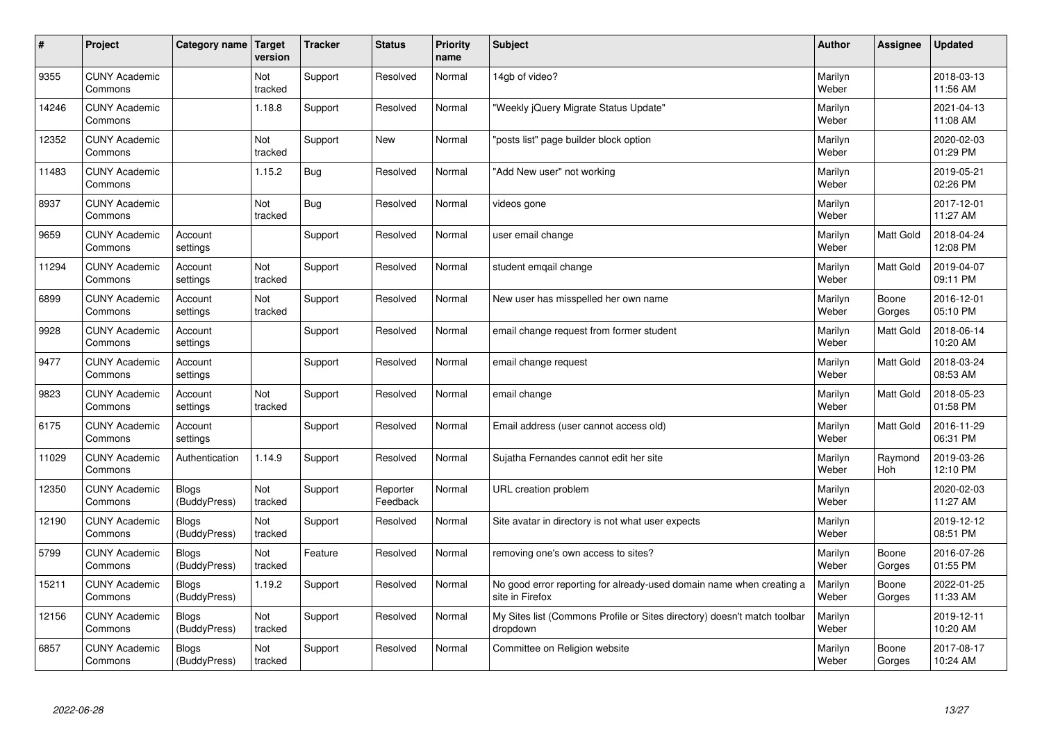| #     | Project                         | Category name                | Target<br>version | <b>Tracker</b> | <b>Status</b>        | <b>Priority</b><br>name | <b>Subject</b>                                                                          | <b>Author</b>    | Assignee         | <b>Updated</b>         |
|-------|---------------------------------|------------------------------|-------------------|----------------|----------------------|-------------------------|-----------------------------------------------------------------------------------------|------------------|------------------|------------------------|
| 9355  | <b>CUNY Academic</b><br>Commons |                              | Not<br>tracked    | Support        | Resolved             | Normal                  | 14gb of video?                                                                          | Marilyn<br>Weber |                  | 2018-03-13<br>11:56 AM |
| 14246 | <b>CUNY Academic</b><br>Commons |                              | 1.18.8            | Support        | Resolved             | Normal                  | 'Weekly jQuery Migrate Status Update"                                                   | Marilyn<br>Weber |                  | 2021-04-13<br>11:08 AM |
| 12352 | <b>CUNY Academic</b><br>Commons |                              | Not<br>tracked    | Support        | <b>New</b>           | Normal                  | 'posts list" page builder block option                                                  | Marilyn<br>Weber |                  | 2020-02-03<br>01:29 PM |
| 11483 | <b>CUNY Academic</b><br>Commons |                              | 1.15.2            | <b>Bug</b>     | Resolved             | Normal                  | 'Add New user" not working                                                              | Marilyn<br>Weber |                  | 2019-05-21<br>02:26 PM |
| 8937  | <b>CUNY Academic</b><br>Commons |                              | Not<br>tracked    | Bug            | Resolved             | Normal                  | videos gone                                                                             | Marilyn<br>Weber |                  | 2017-12-01<br>11:27 AM |
| 9659  | <b>CUNY Academic</b><br>Commons | Account<br>settings          |                   | Support        | Resolved             | Normal                  | user email change                                                                       | Marilyn<br>Weber | <b>Matt Gold</b> | 2018-04-24<br>12:08 PM |
| 11294 | <b>CUNY Academic</b><br>Commons | Account<br>settings          | Not<br>tracked    | Support        | Resolved             | Normal                  | student emgail change                                                                   | Marilyn<br>Weber | Matt Gold        | 2019-04-07<br>09:11 PM |
| 6899  | <b>CUNY Academic</b><br>Commons | Account<br>settings          | Not<br>tracked    | Support        | Resolved             | Normal                  | New user has misspelled her own name                                                    | Marilyn<br>Weber | Boone<br>Gorges  | 2016-12-01<br>05:10 PM |
| 9928  | <b>CUNY Academic</b><br>Commons | Account<br>settings          |                   | Support        | Resolved             | Normal                  | email change request from former student                                                | Marilyn<br>Weber | <b>Matt Gold</b> | 2018-06-14<br>10:20 AM |
| 9477  | <b>CUNY Academic</b><br>Commons | Account<br>settings          |                   | Support        | Resolved             | Normal                  | email change request                                                                    | Marilyn<br>Weber | <b>Matt Gold</b> | 2018-03-24<br>08:53 AM |
| 9823  | <b>CUNY Academic</b><br>Commons | Account<br>settings          | Not<br>tracked    | Support        | Resolved             | Normal                  | email change                                                                            | Marilyn<br>Weber | Matt Gold        | 2018-05-23<br>01:58 PM |
| 6175  | <b>CUNY Academic</b><br>Commons | Account<br>settings          |                   | Support        | Resolved             | Normal                  | Email address (user cannot access old)                                                  | Marilyn<br>Weber | Matt Gold        | 2016-11-29<br>06:31 PM |
| 11029 | <b>CUNY Academic</b><br>Commons | Authentication               | 1.14.9            | Support        | Resolved             | Normal                  | Sujatha Fernandes cannot edit her site                                                  | Marilyn<br>Weber | Raymond<br>Hoh   | 2019-03-26<br>12:10 PM |
| 12350 | <b>CUNY Academic</b><br>Commons | <b>Blogs</b><br>(BuddyPress) | Not<br>tracked    | Support        | Reporter<br>Feedback | Normal                  | URL creation problem                                                                    | Marilyn<br>Weber |                  | 2020-02-03<br>11:27 AM |
| 12190 | <b>CUNY Academic</b><br>Commons | <b>Blogs</b><br>(BuddyPress) | Not<br>tracked    | Support        | Resolved             | Normal                  | Site avatar in directory is not what user expects                                       | Marilyn<br>Weber |                  | 2019-12-12<br>08:51 PM |
| 5799  | <b>CUNY Academic</b><br>Commons | <b>Blogs</b><br>(BuddyPress) | Not<br>tracked    | Feature        | Resolved             | Normal                  | removing one's own access to sites?                                                     | Marilyn<br>Weber | Boone<br>Gorges  | 2016-07-26<br>01:55 PM |
| 15211 | <b>CUNY Academic</b><br>Commons | <b>Blogs</b><br>(BuddyPress) | 1.19.2            | Support        | Resolved             | Normal                  | No good error reporting for already-used domain name when creating a<br>site in Firefox | Marilyn<br>Weber | Boone<br>Gorges  | 2022-01-25<br>11:33 AM |
| 12156 | <b>CUNY Academic</b><br>Commons | <b>Blogs</b><br>(BuddyPress) | Not<br>tracked    | Support        | Resolved             | Normal                  | My Sites list (Commons Profile or Sites directory) doesn't match toolbar<br>dropdown    | Marilyn<br>Weber |                  | 2019-12-11<br>10:20 AM |
| 6857  | <b>CUNY Academic</b><br>Commons | Blogs<br>(BuddyPress)        | Not<br>tracked    | Support        | Resolved             | Normal                  | Committee on Religion website                                                           | Marilyn<br>Weber | Boone<br>Gorges  | 2017-08-17<br>10:24 AM |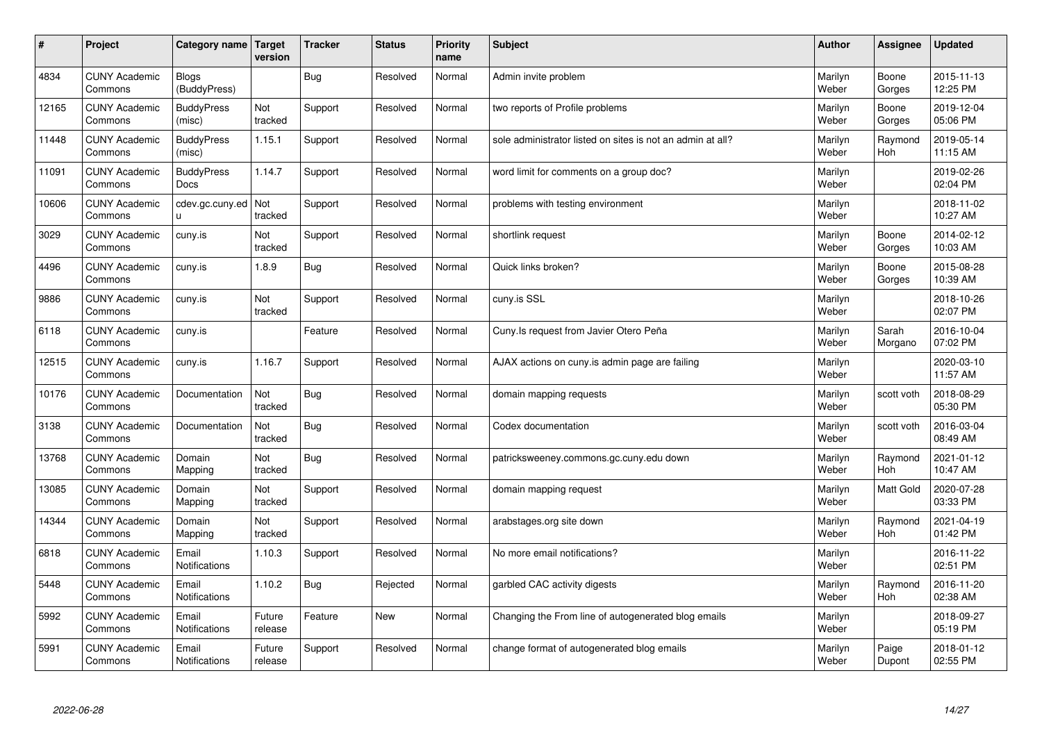| $\#$  | Project                         | Category name Target          | version           | <b>Tracker</b> | <b>Status</b> | <b>Priority</b><br>name | <b>Subject</b>                                             | <b>Author</b>    | <b>Assignee</b>  | <b>Updated</b>         |
|-------|---------------------------------|-------------------------------|-------------------|----------------|---------------|-------------------------|------------------------------------------------------------|------------------|------------------|------------------------|
| 4834  | <b>CUNY Academic</b><br>Commons | Blogs<br>(BuddyPress)         |                   | Bug            | Resolved      | Normal                  | Admin invite problem                                       | Marilyn<br>Weber | Boone<br>Gorges  | 2015-11-13<br>12:25 PM |
| 12165 | <b>CUNY Academic</b><br>Commons | <b>BuddyPress</b><br>(misc)   | Not<br>tracked    | Support        | Resolved      | Normal                  | two reports of Profile problems                            | Marilyn<br>Weber | Boone<br>Gorges  | 2019-12-04<br>05:06 PM |
| 11448 | <b>CUNY Academic</b><br>Commons | <b>BuddyPress</b><br>(misc)   | 1.15.1            | Support        | Resolved      | Normal                  | sole administrator listed on sites is not an admin at all? | Marilyn<br>Weber | Raymond<br>Hoh   | 2019-05-14<br>11:15 AM |
| 11091 | <b>CUNY Academic</b><br>Commons | <b>BuddyPress</b><br>Docs     | 1.14.7            | Support        | Resolved      | Normal                  | word limit for comments on a group doc?                    | Marilyn<br>Weber |                  | 2019-02-26<br>02:04 PM |
| 10606 | <b>CUNY Academic</b><br>Commons | cdev.gc.cuny.ed<br>u          | Not<br>tracked    | Support        | Resolved      | Normal                  | problems with testing environment                          | Marilyn<br>Weber |                  | 2018-11-02<br>10:27 AM |
| 3029  | <b>CUNY Academic</b><br>Commons | cuny.is                       | Not<br>tracked    | Support        | Resolved      | Normal                  | shortlink request                                          | Marilyn<br>Weber | Boone<br>Gorges  | 2014-02-12<br>10:03 AM |
| 4496  | <b>CUNY Academic</b><br>Commons | cuny.is                       | 1.8.9             | Bug            | Resolved      | Normal                  | Quick links broken?                                        | Marilyn<br>Weber | Boone<br>Gorges  | 2015-08-28<br>10:39 AM |
| 9886  | <b>CUNY Academic</b><br>Commons | cuny.is                       | Not<br>tracked    | Support        | Resolved      | Normal                  | cuny.is SSL                                                | Marilyn<br>Weber |                  | 2018-10-26<br>02:07 PM |
| 6118  | <b>CUNY Academic</b><br>Commons | cuny.is                       |                   | Feature        | Resolved      | Normal                  | Cuny.Is request from Javier Otero Peña                     | Marilyn<br>Weber | Sarah<br>Morgano | 2016-10-04<br>07:02 PM |
| 12515 | <b>CUNY Academic</b><br>Commons | cuny.is                       | 1.16.7            | Support        | Resolved      | Normal                  | AJAX actions on cuny is admin page are failing             | Marilyn<br>Weber |                  | 2020-03-10<br>11:57 AM |
| 10176 | <b>CUNY Academic</b><br>Commons | Documentation                 | Not<br>tracked    | <b>Bug</b>     | Resolved      | Normal                  | domain mapping requests                                    | Marilyn<br>Weber | scott voth       | 2018-08-29<br>05:30 PM |
| 3138  | <b>CUNY Academic</b><br>Commons | Documentation                 | Not<br>tracked    | <b>Bug</b>     | Resolved      | Normal                  | Codex documentation                                        | Marilyn<br>Weber | scott voth       | 2016-03-04<br>08:49 AM |
| 13768 | <b>CUNY Academic</b><br>Commons | Domain<br>Mapping             | Not<br>tracked    | Bug            | Resolved      | Normal                  | patricksweeney.commons.gc.cuny.edu down                    | Marilyn<br>Weber | Raymond<br>Hoh   | 2021-01-12<br>10:47 AM |
| 13085 | <b>CUNY Academic</b><br>Commons | Domain<br>Mapping             | Not<br>tracked    | Support        | Resolved      | Normal                  | domain mapping request                                     | Marilyn<br>Weber | Matt Gold        | 2020-07-28<br>03:33 PM |
| 14344 | <b>CUNY Academic</b><br>Commons | Domain<br>Mapping             | Not<br>tracked    | Support        | Resolved      | Normal                  | arabstages.org site down                                   | Marilyn<br>Weber | Raymond<br>Hoh   | 2021-04-19<br>01:42 PM |
| 6818  | <b>CUNY Academic</b><br>Commons | Email<br>Notifications        | 1.10.3            | Support        | Resolved      | Normal                  | No more email notifications?                               | Marilyn<br>Weber |                  | 2016-11-22<br>02:51 PM |
| 5448  | <b>CUNY Academic</b><br>Commons | Email<br><b>Notifications</b> | 1.10.2            | <b>Bug</b>     | Rejected      | Normal                  | garbled CAC activity digests                               | Marilyn<br>Weber | Raymond<br>Hoh   | 2016-11-20<br>02:38 AM |
| 5992  | <b>CUNY Academic</b><br>Commons | Email<br>Notifications        | Future<br>release | Feature        | New           | Normal                  | Changing the From line of autogenerated blog emails        | Marilyn<br>Weber |                  | 2018-09-27<br>05:19 PM |
| 5991  | <b>CUNY Academic</b><br>Commons | Email<br>Notifications        | Future<br>release | Support        | Resolved      | Normal                  | change format of autogenerated blog emails                 | Marilyn<br>Weber | Paige<br>Dupont  | 2018-01-12<br>02:55 PM |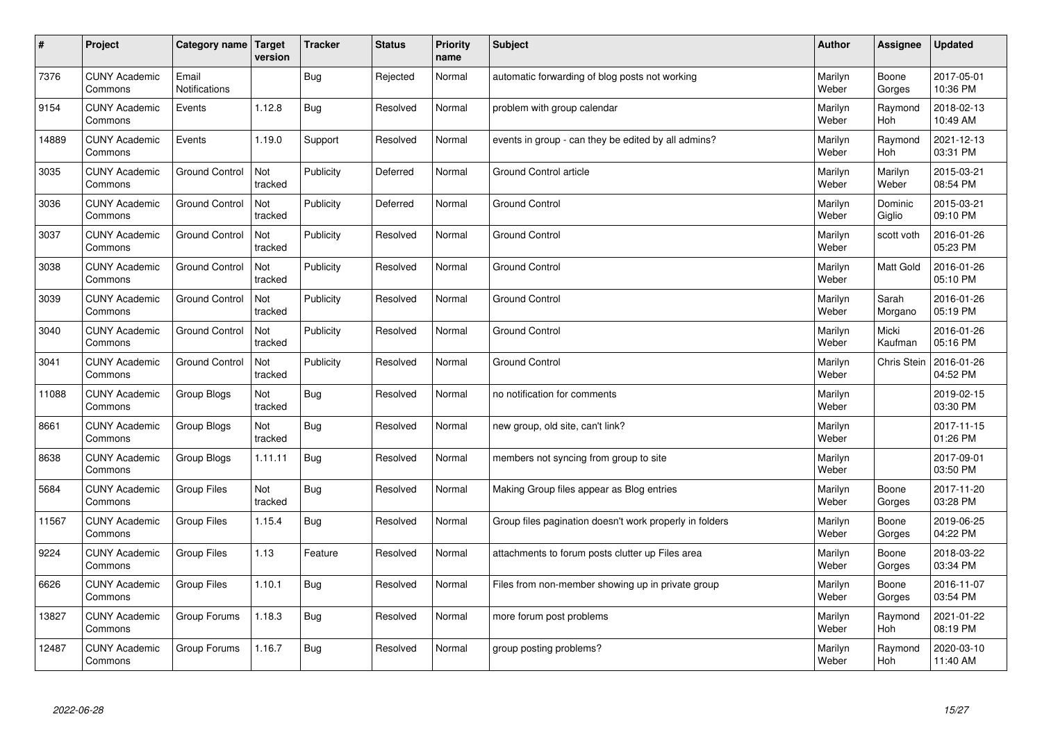| $\sharp$ | Project                         | Category name          | Target<br>version | <b>Tracker</b> | <b>Status</b> | <b>Priority</b><br>name | <b>Subject</b>                                          | <b>Author</b>    | Assignee           | <b>Updated</b>         |
|----------|---------------------------------|------------------------|-------------------|----------------|---------------|-------------------------|---------------------------------------------------------|------------------|--------------------|------------------------|
| 7376     | <b>CUNY Academic</b><br>Commons | Email<br>Notifications |                   | <b>Bug</b>     | Rejected      | Normal                  | automatic forwarding of blog posts not working          | Marilyn<br>Weber | Boone<br>Gorges    | 2017-05-01<br>10:36 PM |
| 9154     | <b>CUNY Academic</b><br>Commons | Events                 | 1.12.8            | Bug            | Resolved      | Normal                  | problem with group calendar                             | Marilyn<br>Weber | Raymond<br>Hoh     | 2018-02-13<br>10:49 AM |
| 14889    | <b>CUNY Academic</b><br>Commons | Events                 | 1.19.0            | Support        | Resolved      | Normal                  | events in group - can they be edited by all admins?     | Marilyn<br>Weber | Raymond<br>Hoh     | 2021-12-13<br>03:31 PM |
| 3035     | <b>CUNY Academic</b><br>Commons | <b>Ground Control</b>  | Not<br>tracked    | Publicity      | Deferred      | Normal                  | Ground Control article                                  | Marilyn<br>Weber | Marilyn<br>Weber   | 2015-03-21<br>08:54 PM |
| 3036     | <b>CUNY Academic</b><br>Commons | <b>Ground Control</b>  | Not<br>tracked    | Publicity      | Deferred      | Normal                  | <b>Ground Control</b>                                   | Marilyn<br>Weber | Dominic<br>Giglio  | 2015-03-21<br>09:10 PM |
| 3037     | <b>CUNY Academic</b><br>Commons | <b>Ground Control</b>  | Not<br>tracked    | Publicity      | Resolved      | Normal                  | <b>Ground Control</b>                                   | Marilyn<br>Weber | scott voth         | 2016-01-26<br>05:23 PM |
| 3038     | <b>CUNY Academic</b><br>Commons | <b>Ground Control</b>  | Not<br>tracked    | Publicity      | Resolved      | Normal                  | <b>Ground Control</b>                                   | Marilyn<br>Weber | <b>Matt Gold</b>   | 2016-01-26<br>05:10 PM |
| 3039     | <b>CUNY Academic</b><br>Commons | <b>Ground Control</b>  | Not<br>tracked    | Publicity      | Resolved      | Normal                  | <b>Ground Control</b>                                   | Marilyn<br>Weber | Sarah<br>Morgano   | 2016-01-26<br>05:19 PM |
| 3040     | <b>CUNY Academic</b><br>Commons | <b>Ground Control</b>  | Not<br>tracked    | Publicity      | Resolved      | Normal                  | <b>Ground Control</b>                                   | Marilyn<br>Weber | Micki<br>Kaufman   | 2016-01-26<br>05:16 PM |
| 3041     | <b>CUNY Academic</b><br>Commons | <b>Ground Control</b>  | Not<br>tracked    | Publicity      | Resolved      | Normal                  | <b>Ground Control</b>                                   | Marilyn<br>Weber | <b>Chris Stein</b> | 2016-01-26<br>04:52 PM |
| 11088    | <b>CUNY Academic</b><br>Commons | Group Blogs            | Not<br>tracked    | <b>Bug</b>     | Resolved      | Normal                  | no notification for comments                            | Marilyn<br>Weber |                    | 2019-02-15<br>03:30 PM |
| 8661     | <b>CUNY Academic</b><br>Commons | Group Blogs            | Not<br>tracked    | <b>Bug</b>     | Resolved      | Normal                  | new group, old site, can't link?                        | Marilyn<br>Weber |                    | 2017-11-15<br>01:26 PM |
| 8638     | <b>CUNY Academic</b><br>Commons | Group Blogs            | 1.11.11           | <b>Bug</b>     | Resolved      | Normal                  | members not syncing from group to site                  | Marilyn<br>Weber |                    | 2017-09-01<br>03:50 PM |
| 5684     | <b>CUNY Academic</b><br>Commons | <b>Group Files</b>     | Not<br>tracked    | <b>Bug</b>     | Resolved      | Normal                  | Making Group files appear as Blog entries               | Marilyn<br>Weber | Boone<br>Gorges    | 2017-11-20<br>03:28 PM |
| 11567    | <b>CUNY Academic</b><br>Commons | Group Files            | 1.15.4            | Bug            | Resolved      | Normal                  | Group files pagination doesn't work properly in folders | Marilyn<br>Weber | Boone<br>Gorges    | 2019-06-25<br>04:22 PM |
| 9224     | <b>CUNY Academic</b><br>Commons | Group Files            | 1.13              | Feature        | Resolved      | Normal                  | attachments to forum posts clutter up Files area        | Marilyn<br>Weber | Boone<br>Gorges    | 2018-03-22<br>03:34 PM |
| 6626     | <b>CUNY Academic</b><br>Commons | <b>Group Files</b>     | 1.10.1            | <b>Bug</b>     | Resolved      | Normal                  | Files from non-member showing up in private group       | Marilyn<br>Weber | Boone<br>Gorges    | 2016-11-07<br>03:54 PM |
| 13827    | <b>CUNY Academic</b><br>Commons | Group Forums           | 1.18.3            | <b>Bug</b>     | Resolved      | Normal                  | more forum post problems                                | Marilyn<br>Weber | Raymond<br>Hoh     | 2021-01-22<br>08:19 PM |
| 12487    | <b>CUNY Academic</b><br>Commons | Group Forums           | 1.16.7            | <b>Bug</b>     | Resolved      | Normal                  | group posting problems?                                 | Marilyn<br>Weber | Raymond<br>Hoh     | 2020-03-10<br>11:40 AM |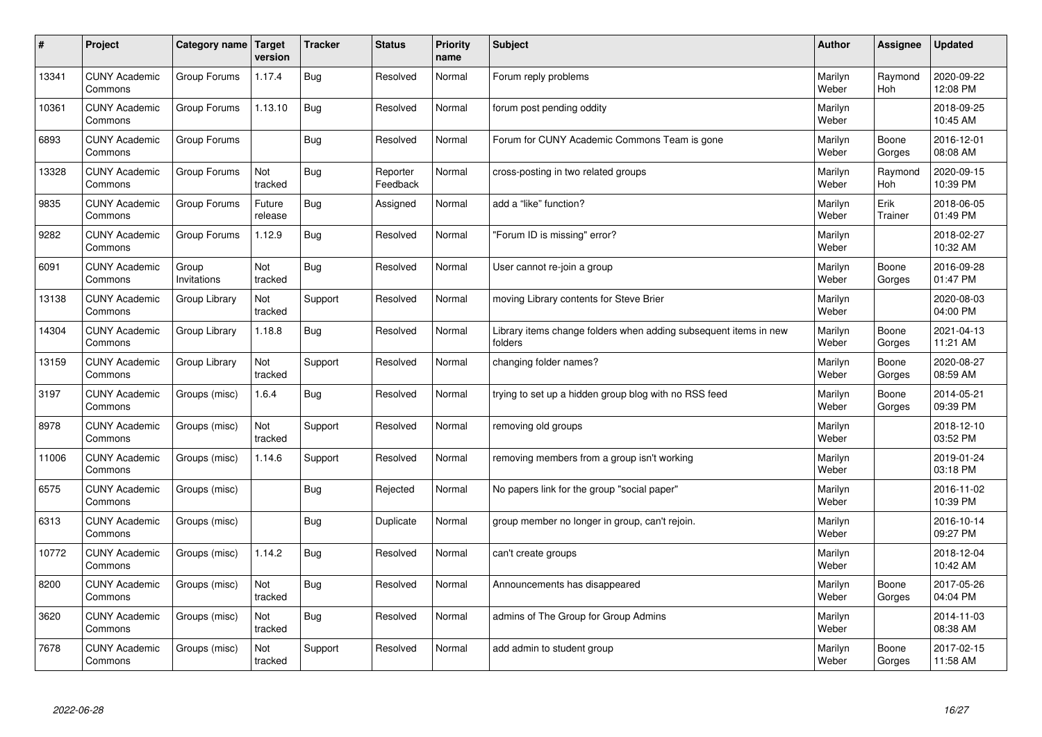| $\sharp$ | Project                         | Category name   Target | version           | <b>Tracker</b> | <b>Status</b>        | <b>Priority</b><br>name | <b>Subject</b>                                                              | <b>Author</b>    | Assignee              | <b>Updated</b>         |
|----------|---------------------------------|------------------------|-------------------|----------------|----------------------|-------------------------|-----------------------------------------------------------------------------|------------------|-----------------------|------------------------|
| 13341    | <b>CUNY Academic</b><br>Commons | Group Forums           | 1.17.4            | Bug            | Resolved             | Normal                  | Forum reply problems                                                        | Marilyn<br>Weber | Raymond<br><b>Hoh</b> | 2020-09-22<br>12:08 PM |
| 10361    | <b>CUNY Academic</b><br>Commons | Group Forums           | 1.13.10           | Bug            | Resolved             | Normal                  | forum post pending oddity                                                   | Marilyn<br>Weber |                       | 2018-09-25<br>10:45 AM |
| 6893     | <b>CUNY Academic</b><br>Commons | Group Forums           |                   | Bug            | Resolved             | Normal                  | Forum for CUNY Academic Commons Team is gone                                | Marilyn<br>Weber | Boone<br>Gorges       | 2016-12-01<br>08:08 AM |
| 13328    | <b>CUNY Academic</b><br>Commons | Group Forums           | Not<br>tracked    | <b>Bug</b>     | Reporter<br>Feedback | Normal                  | cross-posting in two related groups                                         | Marilyn<br>Weber | Raymond<br>Hoh        | 2020-09-15<br>10:39 PM |
| 9835     | <b>CUNY Academic</b><br>Commons | Group Forums           | Future<br>release | Bug            | Assigned             | Normal                  | add a "like" function?                                                      | Marilyn<br>Weber | Erik<br>Trainer       | 2018-06-05<br>01:49 PM |
| 9282     | <b>CUNY Academic</b><br>Commons | Group Forums           | 1.12.9            | Bug            | Resolved             | Normal                  | 'Forum ID is missing" error?                                                | Marilyn<br>Weber |                       | 2018-02-27<br>10:32 AM |
| 6091     | <b>CUNY Academic</b><br>Commons | Group<br>Invitations   | Not<br>tracked    | <b>Bug</b>     | Resolved             | Normal                  | User cannot re-join a group                                                 | Marilyn<br>Weber | Boone<br>Gorges       | 2016-09-28<br>01:47 PM |
| 13138    | <b>CUNY Academic</b><br>Commons | Group Library          | Not<br>tracked    | Support        | Resolved             | Normal                  | moving Library contents for Steve Brier                                     | Marilyn<br>Weber |                       | 2020-08-03<br>04:00 PM |
| 14304    | <b>CUNY Academic</b><br>Commons | Group Library          | 1.18.8            | Bug            | Resolved             | Normal                  | Library items change folders when adding subsequent items in new<br>folders | Marilyn<br>Weber | Boone<br>Gorges       | 2021-04-13<br>11:21 AM |
| 13159    | <b>CUNY Academic</b><br>Commons | Group Library          | Not<br>tracked    | Support        | Resolved             | Normal                  | changing folder names?                                                      | Marilyn<br>Weber | Boone<br>Gorges       | 2020-08-27<br>08:59 AM |
| 3197     | <b>CUNY Academic</b><br>Commons | Groups (misc)          | 1.6.4             | Bug            | Resolved             | Normal                  | trying to set up a hidden group blog with no RSS feed                       | Marilyn<br>Weber | Boone<br>Gorges       | 2014-05-21<br>09:39 PM |
| 8978     | <b>CUNY Academic</b><br>Commons | Groups (misc)          | Not<br>tracked    | Support        | Resolved             | Normal                  | removing old groups                                                         | Marilyn<br>Weber |                       | 2018-12-10<br>03:52 PM |
| 11006    | <b>CUNY Academic</b><br>Commons | Groups (misc)          | 1.14.6            | Support        | Resolved             | Normal                  | removing members from a group isn't working                                 | Marilyn<br>Weber |                       | 2019-01-24<br>03:18 PM |
| 6575     | <b>CUNY Academic</b><br>Commons | Groups (misc)          |                   | <b>Bug</b>     | Rejected             | Normal                  | No papers link for the group "social paper"                                 | Marilyn<br>Weber |                       | 2016-11-02<br>10:39 PM |
| 6313     | <b>CUNY Academic</b><br>Commons | Groups (misc)          |                   | Bug            | Duplicate            | Normal                  | group member no longer in group, can't rejoin.                              | Marilyn<br>Weber |                       | 2016-10-14<br>09:27 PM |
| 10772    | <b>CUNY Academic</b><br>Commons | Groups (misc)          | 1.14.2            | <b>Bug</b>     | Resolved             | Normal                  | can't create groups                                                         | Marilyn<br>Weber |                       | 2018-12-04<br>10:42 AM |
| 8200     | <b>CUNY Academic</b><br>Commons | Groups (misc)          | Not<br>tracked    | <b>Bug</b>     | Resolved             | Normal                  | Announcements has disappeared                                               | Marilyn<br>Weber | Boone<br>Gorges       | 2017-05-26<br>04:04 PM |
| 3620     | <b>CUNY Academic</b><br>Commons | Groups (misc)          | Not<br>tracked    | <b>Bug</b>     | Resolved             | Normal                  | admins of The Group for Group Admins                                        | Marilyn<br>Weber |                       | 2014-11-03<br>08:38 AM |
| 7678     | <b>CUNY Academic</b><br>Commons | Groups (misc)          | Not<br>tracked    | Support        | Resolved             | Normal                  | add admin to student group                                                  | Marilyn<br>Weber | Boone<br>Gorges       | 2017-02-15<br>11:58 AM |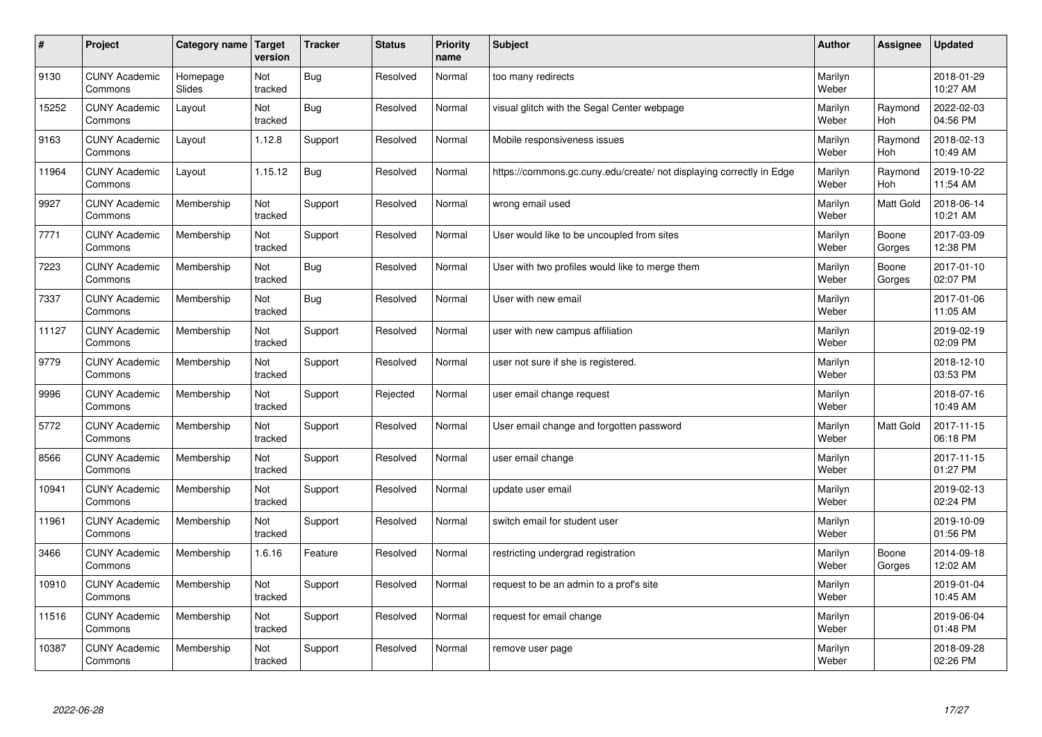| $\sharp$ | Project                         | <b>Category name</b> | Target<br>version | <b>Tracker</b> | <b>Status</b> | <b>Priority</b><br>name | <b>Subject</b>                                                       | <b>Author</b>    | Assignee         | <b>Updated</b>         |
|----------|---------------------------------|----------------------|-------------------|----------------|---------------|-------------------------|----------------------------------------------------------------------|------------------|------------------|------------------------|
| 9130     | <b>CUNY Academic</b><br>Commons | Homepage<br>Slides   | Not<br>tracked    | <b>Bug</b>     | Resolved      | Normal                  | too many redirects                                                   | Marilyn<br>Weber |                  | 2018-01-29<br>10:27 AM |
| 15252    | <b>CUNY Academic</b><br>Commons | Layout               | Not<br>tracked    | Bug            | Resolved      | Normal                  | visual glitch with the Segal Center webpage                          | Marilyn<br>Weber | Raymond<br>Hoh   | 2022-02-03<br>04:56 PM |
| 9163     | <b>CUNY Academic</b><br>Commons | Layout               | 1.12.8            | Support        | Resolved      | Normal                  | Mobile responsiveness issues                                         | Marilyn<br>Weber | Raymond<br>Hoh   | 2018-02-13<br>10:49 AM |
| 11964    | <b>CUNY Academic</b><br>Commons | Layout               | 1.15.12           | <b>Bug</b>     | Resolved      | Normal                  | https://commons.gc.cuny.edu/create/ not displaying correctly in Edge | Marilyn<br>Weber | Raymond<br>Hoh   | 2019-10-22<br>11:54 AM |
| 9927     | <b>CUNY Academic</b><br>Commons | Membership           | Not<br>tracked    | Support        | Resolved      | Normal                  | wrong email used                                                     | Marilyn<br>Weber | <b>Matt Gold</b> | 2018-06-14<br>10:21 AM |
| 7771     | <b>CUNY Academic</b><br>Commons | Membership           | Not<br>tracked    | Support        | Resolved      | Normal                  | User would like to be uncoupled from sites                           | Marilyn<br>Weber | Boone<br>Gorges  | 2017-03-09<br>12:38 PM |
| 7223     | <b>CUNY Academic</b><br>Commons | Membership           | Not<br>tracked    | <b>Bug</b>     | Resolved      | Normal                  | User with two profiles would like to merge them                      | Marilyn<br>Weber | Boone<br>Gorges  | 2017-01-10<br>02:07 PM |
| 7337     | <b>CUNY Academic</b><br>Commons | Membership           | Not<br>tracked    | <b>Bug</b>     | Resolved      | Normal                  | User with new email                                                  | Marilyn<br>Weber |                  | 2017-01-06<br>11:05 AM |
| 11127    | <b>CUNY Academic</b><br>Commons | Membership           | Not<br>tracked    | Support        | Resolved      | Normal                  | user with new campus affiliation                                     | Marilyn<br>Weber |                  | 2019-02-19<br>02:09 PM |
| 9779     | <b>CUNY Academic</b><br>Commons | Membership           | Not<br>tracked    | Support        | Resolved      | Normal                  | user not sure if she is registered.                                  | Marilyn<br>Weber |                  | 2018-12-10<br>03:53 PM |
| 9996     | <b>CUNY Academic</b><br>Commons | Membership           | Not<br>tracked    | Support        | Rejected      | Normal                  | user email change request                                            | Marilyn<br>Weber |                  | 2018-07-16<br>10:49 AM |
| 5772     | <b>CUNY Academic</b><br>Commons | Membership           | Not<br>tracked    | Support        | Resolved      | Normal                  | User email change and forgotten password                             | Marilyn<br>Weber | Matt Gold        | 2017-11-15<br>06:18 PM |
| 8566     | <b>CUNY Academic</b><br>Commons | Membership           | Not<br>tracked    | Support        | Resolved      | Normal                  | user email change                                                    | Marilyn<br>Weber |                  | 2017-11-15<br>01:27 PM |
| 10941    | <b>CUNY Academic</b><br>Commons | Membership           | Not<br>tracked    | Support        | Resolved      | Normal                  | update user email                                                    | Marilyn<br>Weber |                  | 2019-02-13<br>02:24 PM |
| 11961    | <b>CUNY Academic</b><br>Commons | Membership           | Not<br>tracked    | Support        | Resolved      | Normal                  | switch email for student user                                        | Marilyn<br>Weber |                  | 2019-10-09<br>01:56 PM |
| 3466     | <b>CUNY Academic</b><br>Commons | Membership           | 1.6.16            | Feature        | Resolved      | Normal                  | restricting undergrad registration                                   | Marilyn<br>Weber | Boone<br>Gorges  | 2014-09-18<br>12:02 AM |
| 10910    | <b>CUNY Academic</b><br>Commons | Membership           | Not<br>tracked    | Support        | Resolved      | Normal                  | request to be an admin to a prof's site                              | Marilyn<br>Weber |                  | 2019-01-04<br>10:45 AM |
| 11516    | <b>CUNY Academic</b><br>Commons | Membership           | Not<br>tracked    | Support        | Resolved      | Normal                  | request for email change                                             | Marilyn<br>Weber |                  | 2019-06-04<br>01:48 PM |
| 10387    | <b>CUNY Academic</b><br>Commons | Membership           | Not<br>tracked    | Support        | Resolved      | Normal                  | remove user page                                                     | Marilyn<br>Weber |                  | 2018-09-28<br>02:26 PM |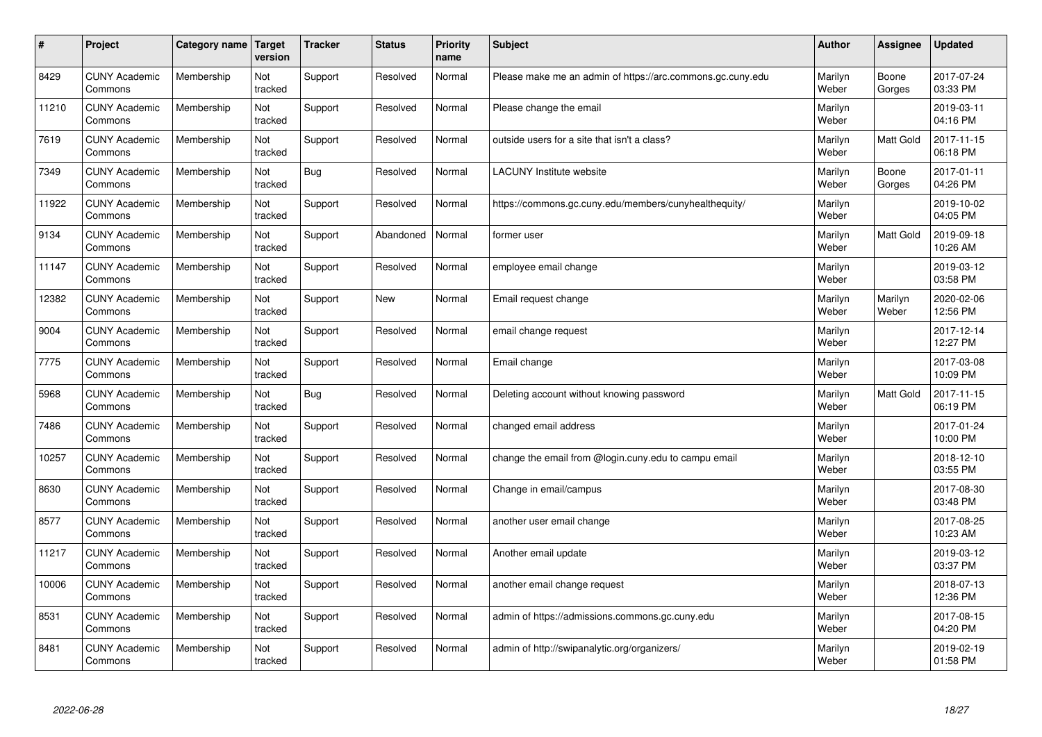| $\#$  | Project                         | Category name | Target<br>version | <b>Tracker</b> | <b>Status</b> | Priority<br>name | <b>Subject</b>                                             | <b>Author</b>    | <b>Assignee</b>  | <b>Updated</b>         |
|-------|---------------------------------|---------------|-------------------|----------------|---------------|------------------|------------------------------------------------------------|------------------|------------------|------------------------|
| 8429  | <b>CUNY Academic</b><br>Commons | Membership    | Not<br>tracked    | Support        | Resolved      | Normal           | Please make me an admin of https://arc.commons.gc.cuny.edu | Marilyn<br>Weber | Boone<br>Gorges  | 2017-07-24<br>03:33 PM |
| 11210 | <b>CUNY Academic</b><br>Commons | Membership    | Not<br>tracked    | Support        | Resolved      | Normal           | Please change the email                                    | Marilyn<br>Weber |                  | 2019-03-11<br>04:16 PM |
| 7619  | <b>CUNY Academic</b><br>Commons | Membership    | Not<br>tracked    | Support        | Resolved      | Normal           | outside users for a site that isn't a class?               | Marilyn<br>Weber | <b>Matt Gold</b> | 2017-11-15<br>06:18 PM |
| 7349  | <b>CUNY Academic</b><br>Commons | Membership    | Not<br>tracked    | Bug            | Resolved      | Normal           | LACUNY Institute website                                   | Marilyn<br>Weber | Boone<br>Gorges  | 2017-01-11<br>04:26 PM |
| 11922 | <b>CUNY Academic</b><br>Commons | Membership    | Not<br>tracked    | Support        | Resolved      | Normal           | https://commons.gc.cuny.edu/members/cunyhealthequity/      | Marilyn<br>Weber |                  | 2019-10-02<br>04:05 PM |
| 9134  | <b>CUNY Academic</b><br>Commons | Membership    | Not<br>tracked    | Support        | Abandoned     | Normal           | former user                                                | Marilyn<br>Weber | Matt Gold        | 2019-09-18<br>10:26 AM |
| 11147 | <b>CUNY Academic</b><br>Commons | Membership    | Not<br>tracked    | Support        | Resolved      | Normal           | employee email change                                      | Marilyn<br>Weber |                  | 2019-03-12<br>03:58 PM |
| 12382 | <b>CUNY Academic</b><br>Commons | Membership    | Not<br>tracked    | Support        | <b>New</b>    | Normal           | Email request change                                       | Marilyn<br>Weber | Marilyn<br>Weber | 2020-02-06<br>12:56 PM |
| 9004  | <b>CUNY Academic</b><br>Commons | Membership    | Not<br>tracked    | Support        | Resolved      | Normal           | email change request                                       | Marilyn<br>Weber |                  | 2017-12-14<br>12:27 PM |
| 7775  | <b>CUNY Academic</b><br>Commons | Membership    | Not<br>tracked    | Support        | Resolved      | Normal           | Email change                                               | Marilyn<br>Weber |                  | 2017-03-08<br>10:09 PM |
| 5968  | <b>CUNY Academic</b><br>Commons | Membership    | Not<br>tracked    | Bug            | Resolved      | Normal           | Deleting account without knowing password                  | Marilyn<br>Weber | Matt Gold        | 2017-11-15<br>06:19 PM |
| 7486  | <b>CUNY Academic</b><br>Commons | Membership    | Not<br>tracked    | Support        | Resolved      | Normal           | changed email address                                      | Marilyn<br>Weber |                  | 2017-01-24<br>10:00 PM |
| 10257 | <b>CUNY Academic</b><br>Commons | Membership    | Not<br>tracked    | Support        | Resolved      | Normal           | change the email from @login.cuny.edu to campu email       | Marilyn<br>Weber |                  | 2018-12-10<br>03:55 PM |
| 8630  | <b>CUNY Academic</b><br>Commons | Membership    | Not<br>tracked    | Support        | Resolved      | Normal           | Change in email/campus                                     | Marilyn<br>Weber |                  | 2017-08-30<br>03:48 PM |
| 8577  | <b>CUNY Academic</b><br>Commons | Membership    | Not<br>tracked    | Support        | Resolved      | Normal           | another user email change                                  | Marilyn<br>Weber |                  | 2017-08-25<br>10:23 AM |
| 11217 | <b>CUNY Academic</b><br>Commons | Membership    | Not<br>tracked    | Support        | Resolved      | Normal           | Another email update                                       | Marilyn<br>Weber |                  | 2019-03-12<br>03:37 PM |
| 10006 | <b>CUNY Academic</b><br>Commons | Membership    | Not<br>tracked    | Support        | Resolved      | Normal           | another email change request                               | Marilyn<br>Weber |                  | 2018-07-13<br>12:36 PM |
| 8531  | <b>CUNY Academic</b><br>Commons | Membership    | Not<br>tracked    | Support        | Resolved      | Normal           | admin of https://admissions.commons.gc.cuny.edu            | Marilyn<br>Weber |                  | 2017-08-15<br>04:20 PM |
| 8481  | <b>CUNY Academic</b><br>Commons | Membership    | Not<br>tracked    | Support        | Resolved      | Normal           | admin of http://swipanalytic.org/organizers/               | Marilyn<br>Weber |                  | 2019-02-19<br>01:58 PM |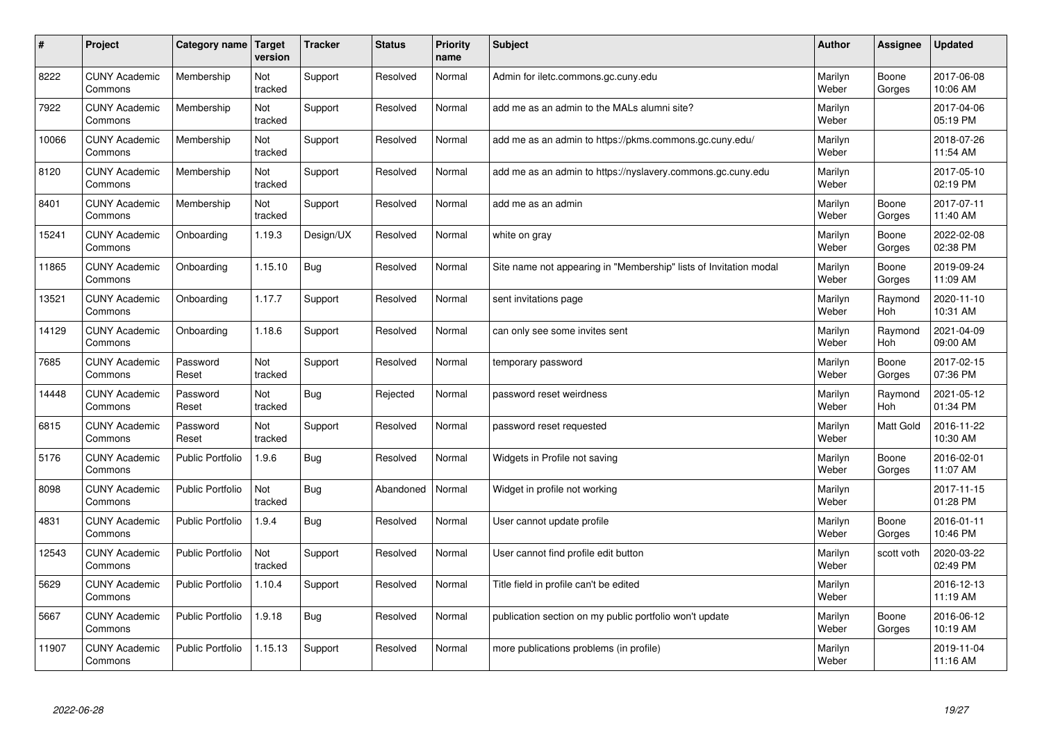| $\#$  | Project                         | Category name   Target  | version        | <b>Tracker</b> | <b>Status</b> | Priority<br>name | <b>Subject</b>                                                    | <b>Author</b>    | <b>Assignee</b>  | <b>Updated</b>         |
|-------|---------------------------------|-------------------------|----------------|----------------|---------------|------------------|-------------------------------------------------------------------|------------------|------------------|------------------------|
| 8222  | <b>CUNY Academic</b><br>Commons | Membership              | Not<br>tracked | Support        | Resolved      | Normal           | Admin for iletc.commons.gc.cuny.edu                               | Marilyn<br>Weber | Boone<br>Gorges  | 2017-06-08<br>10:06 AM |
| 7922  | <b>CUNY Academic</b><br>Commons | Membership              | Not<br>tracked | Support        | Resolved      | Normal           | add me as an admin to the MALs alumni site?                       | Marilyn<br>Weber |                  | 2017-04-06<br>05:19 PM |
| 10066 | <b>CUNY Academic</b><br>Commons | Membership              | Not<br>tracked | Support        | Resolved      | Normal           | add me as an admin to https://pkms.commons.gc.cuny.edu/           | Marilyn<br>Weber |                  | 2018-07-26<br>11:54 AM |
| 8120  | <b>CUNY Academic</b><br>Commons | Membership              | Not<br>tracked | Support        | Resolved      | Normal           | add me as an admin to https://nyslavery.commons.gc.cuny.edu       | Marilyn<br>Weber |                  | 2017-05-10<br>02:19 PM |
| 8401  | <b>CUNY Academic</b><br>Commons | Membership              | Not<br>tracked | Support        | Resolved      | Normal           | add me as an admin                                                | Marilyn<br>Weber | Boone<br>Gorges  | 2017-07-11<br>11:40 AM |
| 15241 | <b>CUNY Academic</b><br>Commons | Onboarding              | 1.19.3         | Design/UX      | Resolved      | Normal           | white on gray                                                     | Marilyn<br>Weber | Boone<br>Gorges  | 2022-02-08<br>02:38 PM |
| 11865 | <b>CUNY Academic</b><br>Commons | Onboarding              | 1.15.10        | Bug            | Resolved      | Normal           | Site name not appearing in "Membership" lists of Invitation modal | Marilyn<br>Weber | Boone<br>Gorges  | 2019-09-24<br>11:09 AM |
| 13521 | <b>CUNY Academic</b><br>Commons | Onboarding              | 1.17.7         | Support        | Resolved      | Normal           | sent invitations page                                             | Marilyn<br>Weber | Raymond<br>Hoh   | 2020-11-10<br>10:31 AM |
| 14129 | <b>CUNY Academic</b><br>Commons | Onboarding              | 1.18.6         | Support        | Resolved      | Normal           | can only see some invites sent                                    | Marilyn<br>Weber | Raymond<br>Hoh   | 2021-04-09<br>09:00 AM |
| 7685  | <b>CUNY Academic</b><br>Commons | Password<br>Reset       | Not<br>tracked | Support        | Resolved      | Normal           | temporary password                                                | Marilyn<br>Weber | Boone<br>Gorges  | 2017-02-15<br>07:36 PM |
| 14448 | <b>CUNY Academic</b><br>Commons | Password<br>Reset       | Not<br>tracked | Bug            | Rejected      | Normal           | password reset weirdness                                          | Marilyn<br>Weber | Raymond<br>Hoh   | 2021-05-12<br>01:34 PM |
| 6815  | <b>CUNY Academic</b><br>Commons | Password<br>Reset       | Not<br>tracked | Support        | Resolved      | Normal           | password reset requested                                          | Marilyn<br>Weber | <b>Matt Gold</b> | 2016-11-22<br>10:30 AM |
| 5176  | <b>CUNY Academic</b><br>Commons | <b>Public Portfolio</b> | 1.9.6          | Bug            | Resolved      | Normal           | Widgets in Profile not saving                                     | Marilyn<br>Weber | Boone<br>Gorges  | 2016-02-01<br>11:07 AM |
| 8098  | <b>CUNY Academic</b><br>Commons | <b>Public Portfolio</b> | Not<br>tracked | <b>Bug</b>     | Abandoned     | Normal           | Widget in profile not working                                     | Marilyn<br>Weber |                  | 2017-11-15<br>01:28 PM |
| 4831  | <b>CUNY Academic</b><br>Commons | <b>Public Portfolio</b> | 1.9.4          | Bug            | Resolved      | Normal           | User cannot update profile                                        | Marilyn<br>Weber | Boone<br>Gorges  | 2016-01-11<br>10:46 PM |
| 12543 | <b>CUNY Academic</b><br>Commons | <b>Public Portfolio</b> | Not<br>tracked | Support        | Resolved      | Normal           | User cannot find profile edit button                              | Marilyn<br>Weber | scott voth       | 2020-03-22<br>02:49 PM |
| 5629  | <b>CUNY Academic</b><br>Commons | <b>Public Portfolio</b> | 1.10.4         | Support        | Resolved      | Normal           | Title field in profile can't be edited                            | Marilyn<br>Weber |                  | 2016-12-13<br>11:19 AM |
| 5667  | <b>CUNY Academic</b><br>Commons | <b>Public Portfolio</b> | 1.9.18         | <b>Bug</b>     | Resolved      | Normal           | publication section on my public portfolio won't update           | Marilyn<br>Weber | Boone<br>Gorges  | 2016-06-12<br>10:19 AM |
| 11907 | <b>CUNY Academic</b><br>Commons | <b>Public Portfolio</b> | 1.15.13        | Support        | Resolved      | Normal           | more publications problems (in profile)                           | Marilyn<br>Weber |                  | 2019-11-04<br>11:16 AM |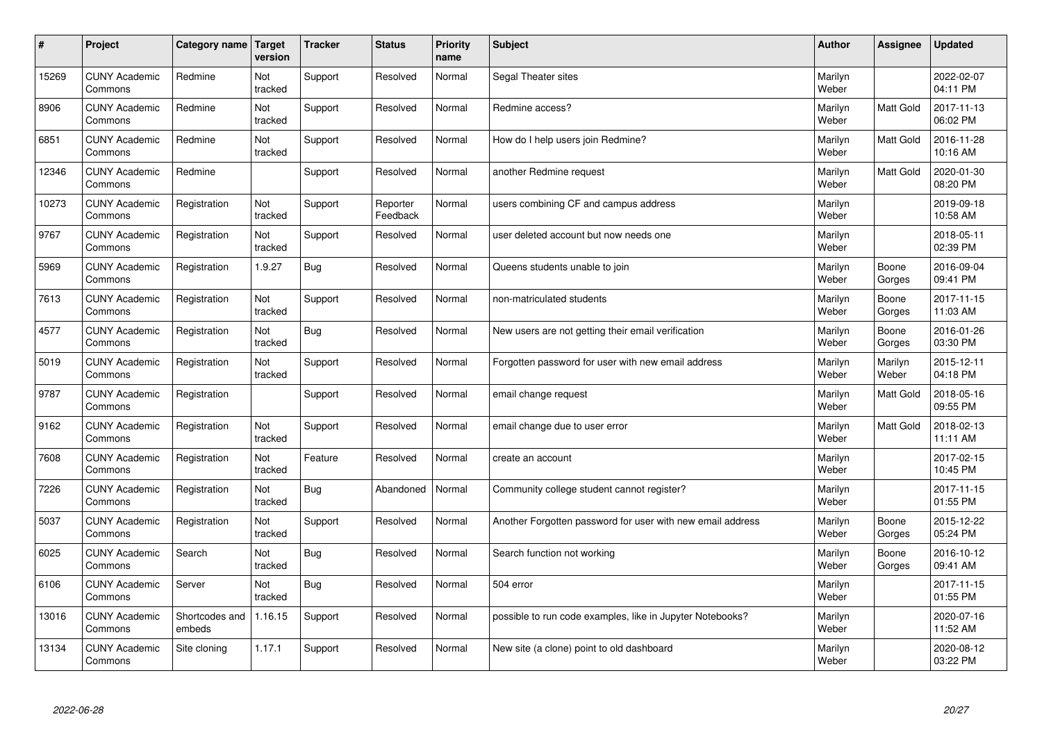| $\sharp$ | Project                         | Category name            | Target<br>version | <b>Tracker</b> | <b>Status</b>        | <b>Priority</b><br>name | <b>Subject</b>                                             | <b>Author</b>    | Assignee         | Updated                |
|----------|---------------------------------|--------------------------|-------------------|----------------|----------------------|-------------------------|------------------------------------------------------------|------------------|------------------|------------------------|
| 15269    | <b>CUNY Academic</b><br>Commons | Redmine                  | Not<br>tracked    | Support        | Resolved             | Normal                  | Segal Theater sites                                        | Marilyn<br>Weber |                  | 2022-02-07<br>04:11 PM |
| 8906     | <b>CUNY Academic</b><br>Commons | Redmine                  | Not<br>tracked    | Support        | Resolved             | Normal                  | Redmine access?                                            | Marilyn<br>Weber | <b>Matt Gold</b> | 2017-11-13<br>06:02 PM |
| 6851     | <b>CUNY Academic</b><br>Commons | Redmine                  | Not<br>tracked    | Support        | Resolved             | Normal                  | How do I help users join Redmine?                          | Marilyn<br>Weber | <b>Matt Gold</b> | 2016-11-28<br>10:16 AM |
| 12346    | <b>CUNY Academic</b><br>Commons | Redmine                  |                   | Support        | Resolved             | Normal                  | another Redmine request                                    | Marilyn<br>Weber | Matt Gold        | 2020-01-30<br>08:20 PM |
| 10273    | <b>CUNY Academic</b><br>Commons | Registration             | Not<br>tracked    | Support        | Reporter<br>Feedback | Normal                  | users combining CF and campus address                      | Marilyn<br>Weber |                  | 2019-09-18<br>10:58 AM |
| 9767     | <b>CUNY Academic</b><br>Commons | Registration             | Not<br>tracked    | Support        | Resolved             | Normal                  | user deleted account but now needs one                     | Marilyn<br>Weber |                  | 2018-05-11<br>02:39 PM |
| 5969     | <b>CUNY Academic</b><br>Commons | Registration             | 1.9.27            | <b>Bug</b>     | Resolved             | Normal                  | Queens students unable to join                             | Marilyn<br>Weber | Boone<br>Gorges  | 2016-09-04<br>09:41 PM |
| 7613     | <b>CUNY Academic</b><br>Commons | Registration             | Not<br>tracked    | Support        | Resolved             | Normal                  | non-matriculated students                                  | Marilyn<br>Weber | Boone<br>Gorges  | 2017-11-15<br>11:03 AM |
| 4577     | <b>CUNY Academic</b><br>Commons | Registration             | Not<br>tracked    | Bug            | Resolved             | Normal                  | New users are not getting their email verification         | Marilyn<br>Weber | Boone<br>Gorges  | 2016-01-26<br>03:30 PM |
| 5019     | <b>CUNY Academic</b><br>Commons | Registration             | Not<br>tracked    | Support        | Resolved             | Normal                  | Forgotten password for user with new email address         | Marilyn<br>Weber | Marilyn<br>Weber | 2015-12-11<br>04:18 PM |
| 9787     | <b>CUNY Academic</b><br>Commons | Registration             |                   | Support        | Resolved             | Normal                  | email change request                                       | Marilyn<br>Weber | Matt Gold        | 2018-05-16<br>09:55 PM |
| 9162     | <b>CUNY Academic</b><br>Commons | Registration             | Not<br>tracked    | Support        | Resolved             | Normal                  | email change due to user error                             | Marilyn<br>Weber | <b>Matt Gold</b> | 2018-02-13<br>11:11 AM |
| 7608     | <b>CUNY Academic</b><br>Commons | Registration             | Not<br>tracked    | Feature        | Resolved             | Normal                  | create an account                                          | Marilyn<br>Weber |                  | 2017-02-15<br>10:45 PM |
| 7226     | <b>CUNY Academic</b><br>Commons | Registration             | Not<br>tracked    | Bug            | Abandoned            | Normal                  | Community college student cannot register?                 | Marilyn<br>Weber |                  | 2017-11-15<br>01:55 PM |
| 5037     | <b>CUNY Academic</b><br>Commons | Registration             | Not<br>tracked    | Support        | Resolved             | Normal                  | Another Forgotten password for user with new email address | Marilyn<br>Weber | Boone<br>Gorges  | 2015-12-22<br>05:24 PM |
| 6025     | <b>CUNY Academic</b><br>Commons | Search                   | Not<br>tracked    | <b>Bug</b>     | Resolved             | Normal                  | Search function not working                                | Marilyn<br>Weber | Boone<br>Gorges  | 2016-10-12<br>09:41 AM |
| 6106     | <b>CUNY Academic</b><br>Commons | Server                   | Not<br>tracked    | Bug            | Resolved             | Normal                  | 504 error                                                  | Marilyn<br>Weber |                  | 2017-11-15<br>01:55 PM |
| 13016    | <b>CUNY Academic</b><br>Commons | Shortcodes and<br>embeds | 1.16.15           | Support        | Resolved             | Normal                  | possible to run code examples, like in Jupyter Notebooks?  | Marilyn<br>Weber |                  | 2020-07-16<br>11:52 AM |
| 13134    | <b>CUNY Academic</b><br>Commons | Site cloning             | 1.17.1            | Support        | Resolved             | Normal                  | New site (a clone) point to old dashboard                  | Marilyn<br>Weber |                  | 2020-08-12<br>03:22 PM |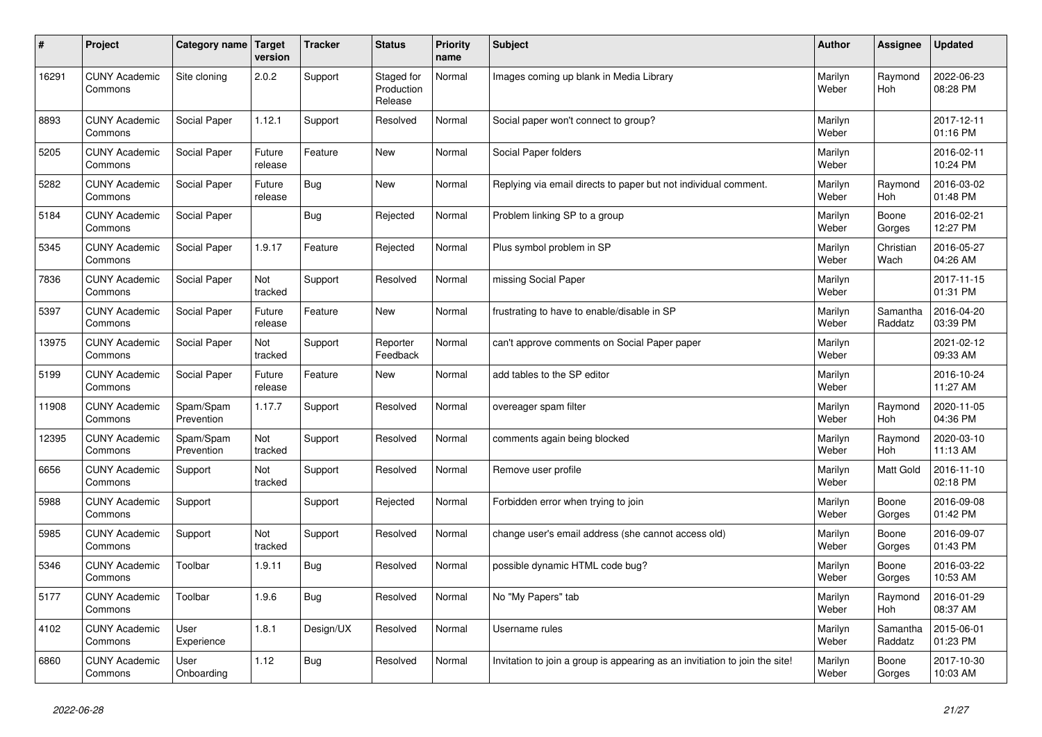| $\pmb{\sharp}$ | Project                         | Category name           | Target<br>version | <b>Tracker</b> | <b>Status</b>                       | <b>Priority</b><br>name | <b>Subject</b>                                                              | <b>Author</b>    | <b>Assignee</b>     | <b>Updated</b>         |
|----------------|---------------------------------|-------------------------|-------------------|----------------|-------------------------------------|-------------------------|-----------------------------------------------------------------------------|------------------|---------------------|------------------------|
| 16291          | <b>CUNY Academic</b><br>Commons | Site cloning            | 2.0.2             | Support        | Staged for<br>Production<br>Release | Normal                  | Images coming up blank in Media Library                                     | Marilyn<br>Weber | Raymond<br>Hoh      | 2022-06-23<br>08:28 PM |
| 8893           | <b>CUNY Academic</b><br>Commons | Social Paper            | 1.12.1            | Support        | Resolved                            | Normal                  | Social paper won't connect to group?                                        | Marilyn<br>Weber |                     | 2017-12-11<br>01:16 PM |
| 5205           | <b>CUNY Academic</b><br>Commons | <b>Social Paper</b>     | Future<br>release | Feature        | <b>New</b>                          | Normal                  | Social Paper folders                                                        | Marilyn<br>Weber |                     | 2016-02-11<br>10:24 PM |
| 5282           | <b>CUNY Academic</b><br>Commons | Social Paper            | Future<br>release | Bug            | <b>New</b>                          | Normal                  | Replying via email directs to paper but not individual comment.             | Marilyn<br>Weber | Raymond<br>Hoh      | 2016-03-02<br>01:48 PM |
| 5184           | <b>CUNY Academic</b><br>Commons | Social Paper            |                   | <b>Bug</b>     | Rejected                            | Normal                  | Problem linking SP to a group                                               | Marilyn<br>Weber | Boone<br>Gorges     | 2016-02-21<br>12:27 PM |
| 5345           | <b>CUNY Academic</b><br>Commons | Social Paper            | 1.9.17            | Feature        | Rejected                            | Normal                  | Plus symbol problem in SP                                                   | Marilyn<br>Weber | Christian<br>Wach   | 2016-05-27<br>04:26 AM |
| 7836           | <b>CUNY Academic</b><br>Commons | Social Paper            | Not<br>tracked    | Support        | Resolved                            | Normal                  | missing Social Paper                                                        | Marilyn<br>Weber |                     | 2017-11-15<br>01:31 PM |
| 5397           | <b>CUNY Academic</b><br>Commons | Social Paper            | Future<br>release | Feature        | New                                 | Normal                  | frustrating to have to enable/disable in SP                                 | Marilyn<br>Weber | Samantha<br>Raddatz | 2016-04-20<br>03:39 PM |
| 13975          | <b>CUNY Academic</b><br>Commons | Social Paper            | Not<br>tracked    | Support        | Reporter<br>Feedback                | Normal                  | can't approve comments on Social Paper paper                                | Marilyn<br>Weber |                     | 2021-02-12<br>09:33 AM |
| 5199           | <b>CUNY Academic</b><br>Commons | Social Paper            | Future<br>release | Feature        | New                                 | Normal                  | add tables to the SP editor                                                 | Marilyn<br>Weber |                     | 2016-10-24<br>11:27 AM |
| 11908          | <b>CUNY Academic</b><br>Commons | Spam/Spam<br>Prevention | 1.17.7            | Support        | Resolved                            | Normal                  | overeager spam filter                                                       | Marilyn<br>Weber | Raymond<br>Hoh      | 2020-11-05<br>04:36 PM |
| 12395          | <b>CUNY Academic</b><br>Commons | Spam/Spam<br>Prevention | Not<br>tracked    | Support        | Resolved                            | Normal                  | comments again being blocked                                                | Marilyn<br>Weber | Raymond<br>Hoh      | 2020-03-10<br>11:13 AM |
| 6656           | <b>CUNY Academic</b><br>Commons | Support                 | Not<br>tracked    | Support        | Resolved                            | Normal                  | Remove user profile                                                         | Marilyn<br>Weber | Matt Gold           | 2016-11-10<br>02:18 PM |
| 5988           | <b>CUNY Academic</b><br>Commons | Support                 |                   | Support        | Rejected                            | Normal                  | Forbidden error when trying to join                                         | Marilyn<br>Weber | Boone<br>Gorges     | 2016-09-08<br>01:42 PM |
| 5985           | <b>CUNY Academic</b><br>Commons | Support                 | Not<br>tracked    | Support        | Resolved                            | Normal                  | change user's email address (she cannot access old)                         | Marilyn<br>Weber | Boone<br>Gorges     | 2016-09-07<br>01:43 PM |
| 5346           | <b>CUNY Academic</b><br>Commons | Toolbar                 | 1.9.11            | <b>Bug</b>     | Resolved                            | Normal                  | possible dynamic HTML code bug?                                             | Marilyn<br>Weber | Boone<br>Gorges     | 2016-03-22<br>10:53 AM |
| 5177           | <b>CUNY Academic</b><br>Commons | Toolbar                 | 1.9.6             | <b>Bug</b>     | Resolved                            | Normal                  | No "My Papers" tab                                                          | Marilyn<br>Weber | Raymond<br>Hoh      | 2016-01-29<br>08:37 AM |
| 4102           | <b>CUNY Academic</b><br>Commons | User<br>Experience      | 1.8.1             | Design/UX      | Resolved                            | Normal                  | Username rules                                                              | Marilyn<br>Weber | Samantha<br>Raddatz | 2015-06-01<br>01:23 PM |
| 6860           | <b>CUNY Academic</b><br>Commons | User<br>Onboarding      | 1.12              | Bug            | Resolved                            | Normal                  | Invitation to join a group is appearing as an invitiation to join the site! | Marilyn<br>Weber | Boone<br>Gorges     | 2017-10-30<br>10:03 AM |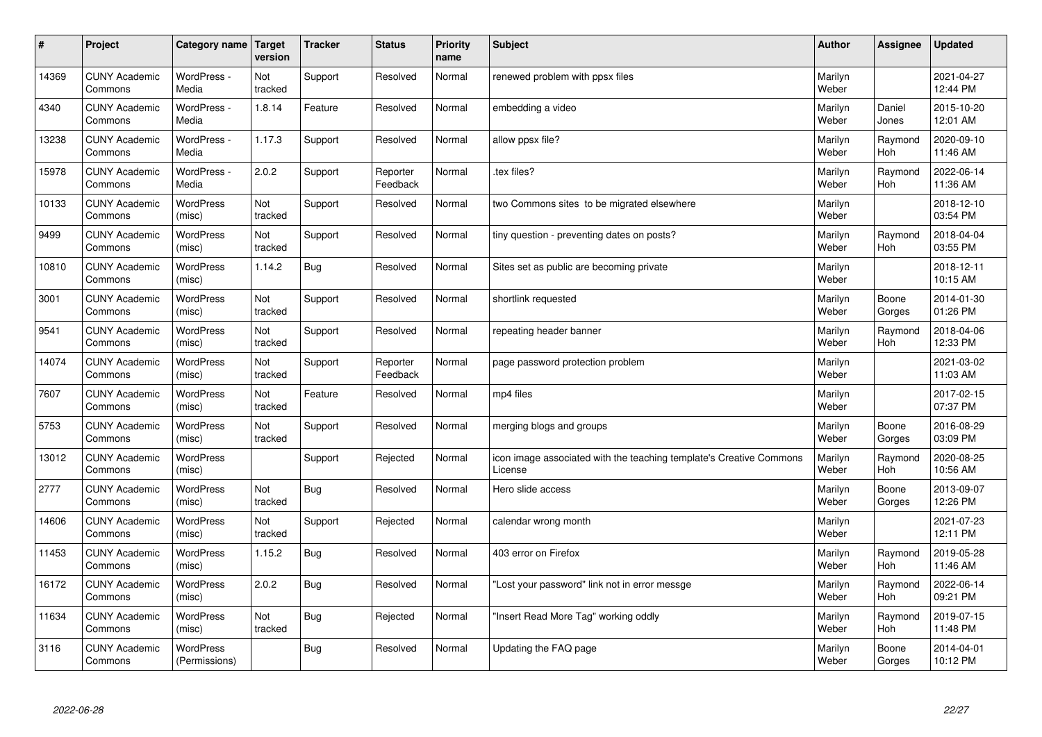| #     | Project                         | Category name Target              | version        | <b>Tracker</b> | <b>Status</b>        | <b>Priority</b><br>name | <b>Subject</b>                                                                 | <b>Author</b>    | <b>Assignee</b> | <b>Updated</b>         |
|-------|---------------------------------|-----------------------------------|----------------|----------------|----------------------|-------------------------|--------------------------------------------------------------------------------|------------------|-----------------|------------------------|
| 14369 | <b>CUNY Academic</b><br>Commons | WordPress -<br>Media              | Not<br>tracked | Support        | Resolved             | Normal                  | renewed problem with ppsx files                                                | Marilyn<br>Weber |                 | 2021-04-27<br>12:44 PM |
| 4340  | <b>CUNY Academic</b><br>Commons | WordPress -<br>Media              | 1.8.14         | Feature        | Resolved             | Normal                  | embedding a video                                                              | Marilyn<br>Weber | Daniel<br>Jones | 2015-10-20<br>12:01 AM |
| 13238 | <b>CUNY Academic</b><br>Commons | WordPress -<br>Media              | 1.17.3         | Support        | Resolved             | Normal                  | allow ppsx file?                                                               | Marilyn<br>Weber | Raymond<br>Hoh  | 2020-09-10<br>11:46 AM |
| 15978 | <b>CUNY Academic</b><br>Commons | WordPress -<br>Media              | 2.0.2          | Support        | Reporter<br>Feedback | Normal                  | tex files?                                                                     | Marilyn<br>Weber | Raymond<br>Hoh  | 2022-06-14<br>11:36 AM |
| 10133 | <b>CUNY Academic</b><br>Commons | WordPress<br>(misc)               | Not<br>tracked | Support        | Resolved             | Normal                  | two Commons sites to be migrated elsewhere                                     | Marilyn<br>Weber |                 | 2018-12-10<br>03:54 PM |
| 9499  | <b>CUNY Academic</b><br>Commons | <b>WordPress</b><br>(misc)        | Not<br>tracked | Support        | Resolved             | Normal                  | tiny question - preventing dates on posts?                                     | Marilyn<br>Weber | Raymond<br>Hoh  | 2018-04-04<br>03:55 PM |
| 10810 | <b>CUNY Academic</b><br>Commons | <b>WordPress</b><br>(misc)        | 1.14.2         | Bug            | Resolved             | Normal                  | Sites set as public are becoming private                                       | Marilyn<br>Weber |                 | 2018-12-11<br>10:15 AM |
| 3001  | <b>CUNY Academic</b><br>Commons | WordPress<br>(misc)               | Not<br>tracked | Support        | Resolved             | Normal                  | shortlink requested                                                            | Marilyn<br>Weber | Boone<br>Gorges | 2014-01-30<br>01:26 PM |
| 9541  | <b>CUNY Academic</b><br>Commons | WordPress<br>(misc)               | Not<br>tracked | Support        | Resolved             | Normal                  | repeating header banner                                                        | Marilyn<br>Weber | Raymond<br>Hoh  | 2018-04-06<br>12:33 PM |
| 14074 | <b>CUNY Academic</b><br>Commons | <b>WordPress</b><br>(misc)        | Not<br>tracked | Support        | Reporter<br>Feedback | Normal                  | page password protection problem                                               | Marilyn<br>Weber |                 | 2021-03-02<br>11:03 AM |
| 7607  | <b>CUNY Academic</b><br>Commons | <b>WordPress</b><br>(misc)        | Not<br>tracked | Feature        | Resolved             | Normal                  | mp4 files                                                                      | Marilyn<br>Weber |                 | 2017-02-15<br>07:37 PM |
| 5753  | <b>CUNY Academic</b><br>Commons | <b>WordPress</b><br>(misc)        | Not<br>tracked | Support        | Resolved             | Normal                  | merging blogs and groups                                                       | Marilyn<br>Weber | Boone<br>Gorges | 2016-08-29<br>03:09 PM |
| 13012 | <b>CUNY Academic</b><br>Commons | <b>WordPress</b><br>(misc)        |                | Support        | Rejected             | Normal                  | icon image associated with the teaching template's Creative Commons<br>License | Marilyn<br>Weber | Raymond<br>Hoh  | 2020-08-25<br>10:56 AM |
| 2777  | <b>CUNY Academic</b><br>Commons | WordPress<br>(misc)               | Not<br>tracked | <b>Bug</b>     | Resolved             | Normal                  | Hero slide access                                                              | Marilyn<br>Weber | Boone<br>Gorges | 2013-09-07<br>12:26 PM |
| 14606 | <b>CUNY Academic</b><br>Commons | WordPress<br>(misc)               | Not<br>tracked | Support        | Rejected             | Normal                  | calendar wrong month                                                           | Marilyn<br>Weber |                 | 2021-07-23<br>12:11 PM |
| 11453 | <b>CUNY Academic</b><br>Commons | <b>WordPress</b><br>(misc)        | 1.15.2         | <b>Bug</b>     | Resolved             | Normal                  | 403 error on Firefox                                                           | Marilyn<br>Weber | Raymond<br>Hoh  | 2019-05-28<br>11:46 AM |
| 16172 | <b>CUNY Academic</b><br>Commons | WordPress<br>(misc)               | 2.0.2          | <b>Bug</b>     | Resolved             | Normal                  | 'Lost your password" link not in error messge                                  | Marilyn<br>Weber | Raymond<br>Hoh  | 2022-06-14<br>09:21 PM |
| 11634 | <b>CUNY Academic</b><br>Commons | WordPress<br>(misc)               | Not<br>tracked | <b>Bug</b>     | Rejected             | Normal                  | 'Insert Read More Tag" working oddly                                           | Marilyn<br>Weber | Raymond<br>Hoh  | 2019-07-15<br>11:48 PM |
| 3116  | <b>CUNY Academic</b><br>Commons | <b>WordPress</b><br>(Permissions) |                | Bug            | Resolved             | Normal                  | Updating the FAQ page                                                          | Marilyn<br>Weber | Boone<br>Gorges | 2014-04-01<br>10:12 PM |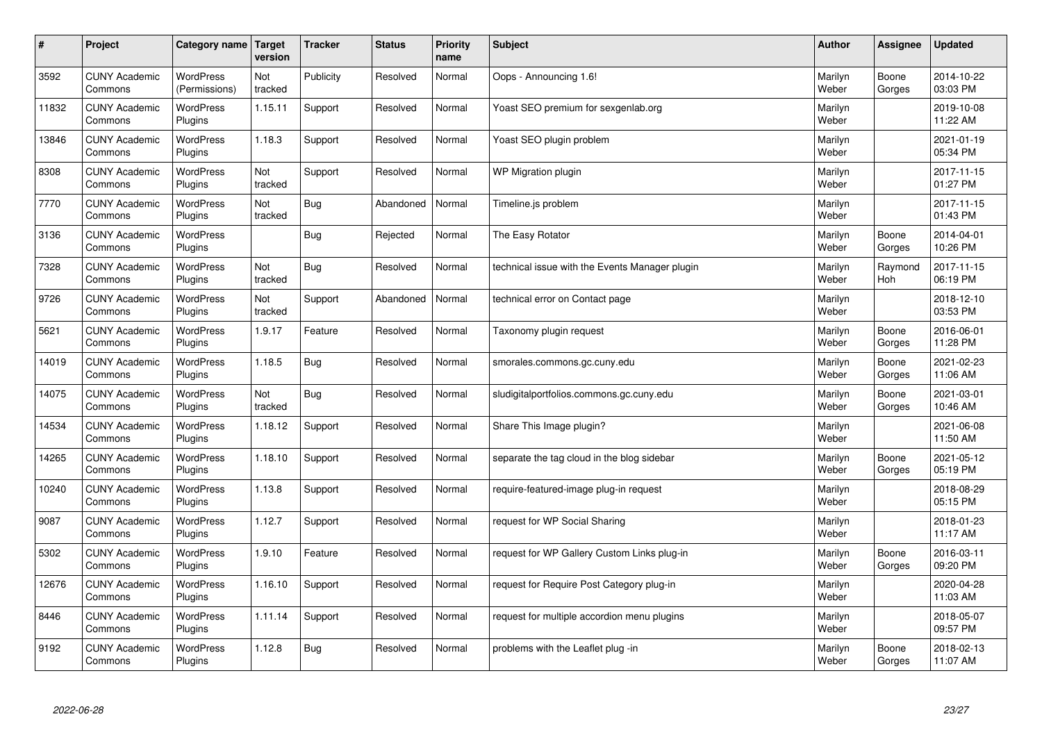| #     | Project                         | Category name                     | Target<br>version | <b>Tracker</b> | <b>Status</b> | <b>Priority</b><br>name | <b>Subject</b>                                 | <b>Author</b>    | Assignee        | <b>Updated</b>         |
|-------|---------------------------------|-----------------------------------|-------------------|----------------|---------------|-------------------------|------------------------------------------------|------------------|-----------------|------------------------|
| 3592  | <b>CUNY Academic</b><br>Commons | <b>WordPress</b><br>(Permissions) | Not<br>tracked    | Publicity      | Resolved      | Normal                  | Oops - Announcing 1.6!                         | Marilyn<br>Weber | Boone<br>Gorges | 2014-10-22<br>03:03 PM |
| 11832 | <b>CUNY Academic</b><br>Commons | <b>WordPress</b><br>Plugins       | 1.15.11           | Support        | Resolved      | Normal                  | Yoast SEO premium for sexgenlab.org            | Marilyn<br>Weber |                 | 2019-10-08<br>11:22 AM |
| 13846 | <b>CUNY Academic</b><br>Commons | <b>WordPress</b><br>Plugins       | 1.18.3            | Support        | Resolved      | Normal                  | Yoast SEO plugin problem                       | Marilyn<br>Weber |                 | 2021-01-19<br>05:34 PM |
| 8308  | <b>CUNY Academic</b><br>Commons | <b>WordPress</b><br>Plugins       | Not<br>tracked    | Support        | Resolved      | Normal                  | WP Migration plugin                            | Marilyn<br>Weber |                 | 2017-11-15<br>01:27 PM |
| 7770  | <b>CUNY Academic</b><br>Commons | <b>WordPress</b><br>Plugins       | Not<br>tracked    | Bug            | Abandoned     | Normal                  | Timeline.js problem                            | Marilyn<br>Weber |                 | 2017-11-15<br>01:43 PM |
| 3136  | <b>CUNY Academic</b><br>Commons | WordPress<br>Plugins              |                   | Bug            | Rejected      | Normal                  | The Easy Rotator                               | Marilyn<br>Weber | Boone<br>Gorges | 2014-04-01<br>10:26 PM |
| 7328  | <b>CUNY Academic</b><br>Commons | <b>WordPress</b><br>Plugins       | Not<br>tracked    | <b>Bug</b>     | Resolved      | Normal                  | technical issue with the Events Manager plugin | Marilyn<br>Weber | Raymond<br>Hoh  | 2017-11-15<br>06:19 PM |
| 9726  | <b>CUNY Academic</b><br>Commons | <b>WordPress</b><br>Plugins       | Not<br>tracked    | Support        | Abandoned     | Normal                  | technical error on Contact page                | Marilyn<br>Weber |                 | 2018-12-10<br>03:53 PM |
| 5621  | <b>CUNY Academic</b><br>Commons | <b>WordPress</b><br>Plugins       | 1.9.17            | Feature        | Resolved      | Normal                  | Taxonomy plugin request                        | Marilyn<br>Weber | Boone<br>Gorges | 2016-06-01<br>11:28 PM |
| 14019 | <b>CUNY Academic</b><br>Commons | WordPress<br>Plugins              | 1.18.5            | Bug            | Resolved      | Normal                  | smorales.commons.gc.cuny.edu                   | Marilyn<br>Weber | Boone<br>Gorges | 2021-02-23<br>11:06 AM |
| 14075 | <b>CUNY Academic</b><br>Commons | WordPress<br>Plugins              | Not<br>tracked    | <b>Bug</b>     | Resolved      | Normal                  | sludigitalportfolios.commons.gc.cuny.edu       | Marilyn<br>Weber | Boone<br>Gorges | 2021-03-01<br>10:46 AM |
| 14534 | <b>CUNY Academic</b><br>Commons | <b>WordPress</b><br>Plugins       | 1.18.12           | Support        | Resolved      | Normal                  | Share This Image plugin?                       | Marilyn<br>Weber |                 | 2021-06-08<br>11:50 AM |
| 14265 | <b>CUNY Academic</b><br>Commons | <b>WordPress</b><br>Plugins       | 1.18.10           | Support        | Resolved      | Normal                  | separate the tag cloud in the blog sidebar     | Marilyn<br>Weber | Boone<br>Gorges | 2021-05-12<br>05:19 PM |
| 10240 | <b>CUNY Academic</b><br>Commons | <b>WordPress</b><br>Plugins       | 1.13.8            | Support        | Resolved      | Normal                  | require-featured-image plug-in request         | Marilyn<br>Weber |                 | 2018-08-29<br>05:15 PM |
| 9087  | <b>CUNY Academic</b><br>Commons | <b>WordPress</b><br>Plugins       | 1.12.7            | Support        | Resolved      | Normal                  | request for WP Social Sharing                  | Marilyn<br>Weber |                 | 2018-01-23<br>11:17 AM |
| 5302  | <b>CUNY Academic</b><br>Commons | <b>WordPress</b><br>Plugins       | 1.9.10            | Feature        | Resolved      | Normal                  | request for WP Gallery Custom Links plug-in    | Marilyn<br>Weber | Boone<br>Gorges | 2016-03-11<br>09:20 PM |
| 12676 | <b>CUNY Academic</b><br>Commons | WordPress<br>Plugins              | 1.16.10           | Support        | Resolved      | Normal                  | request for Require Post Category plug-in      | Marilyn<br>Weber |                 | 2020-04-28<br>11:03 AM |
| 8446  | <b>CUNY Academic</b><br>Commons | WordPress<br>Plugins              | 1.11.14           | Support        | Resolved      | Normal                  | request for multiple accordion menu plugins    | Marilyn<br>Weber |                 | 2018-05-07<br>09:57 PM |
| 9192  | <b>CUNY Academic</b><br>Commons | WordPress<br>Plugins              | 1.12.8            | Bug            | Resolved      | Normal                  | problems with the Leaflet plug -in             | Marilyn<br>Weber | Boone<br>Gorges | 2018-02-13<br>11:07 AM |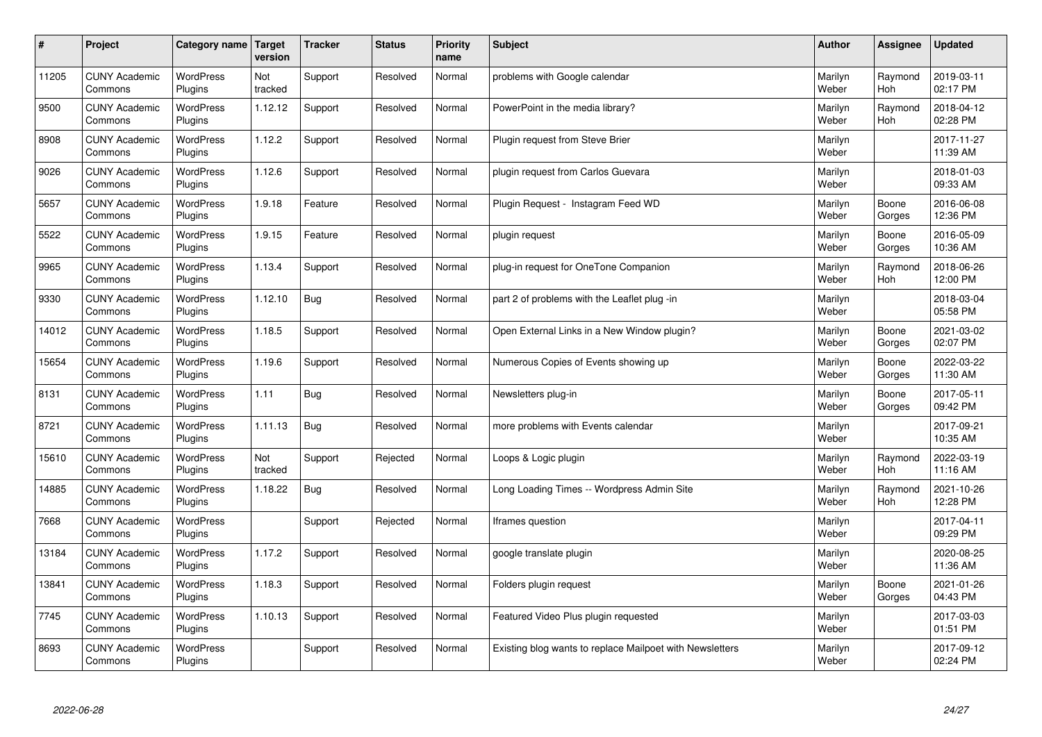| $\sharp$ | Project                         | Category name               | Target<br>version | <b>Tracker</b> | <b>Status</b> | <b>Priority</b><br>name | <b>Subject</b>                                           | <b>Author</b>    | Assignee              | <b>Updated</b>         |
|----------|---------------------------------|-----------------------------|-------------------|----------------|---------------|-------------------------|----------------------------------------------------------|------------------|-----------------------|------------------------|
| 11205    | <b>CUNY Academic</b><br>Commons | <b>WordPress</b><br>Plugins | Not<br>tracked    | Support        | Resolved      | Normal                  | problems with Google calendar                            | Marilyn<br>Weber | Raymond<br><b>Hoh</b> | 2019-03-11<br>02:17 PM |
| 9500     | <b>CUNY Academic</b><br>Commons | <b>WordPress</b><br>Plugins | 1.12.12           | Support        | Resolved      | Normal                  | PowerPoint in the media library?                         | Marilyn<br>Weber | Raymond<br>Hoh        | 2018-04-12<br>02:28 PM |
| 8908     | <b>CUNY Academic</b><br>Commons | <b>WordPress</b><br>Plugins | 1.12.2            | Support        | Resolved      | Normal                  | Plugin request from Steve Brier                          | Marilyn<br>Weber |                       | 2017-11-27<br>11:39 AM |
| 9026     | <b>CUNY Academic</b><br>Commons | <b>WordPress</b><br>Plugins | 1.12.6            | Support        | Resolved      | Normal                  | plugin request from Carlos Guevara                       | Marilyn<br>Weber |                       | 2018-01-03<br>09:33 AM |
| 5657     | <b>CUNY Academic</b><br>Commons | <b>WordPress</b><br>Plugins | 1.9.18            | Feature        | Resolved      | Normal                  | Plugin Request - Instagram Feed WD                       | Marilyn<br>Weber | Boone<br>Gorges       | 2016-06-08<br>12:36 PM |
| 5522     | <b>CUNY Academic</b><br>Commons | WordPress<br>Plugins        | 1.9.15            | Feature        | Resolved      | Normal                  | plugin request                                           | Marilyn<br>Weber | Boone<br>Gorges       | 2016-05-09<br>10:36 AM |
| 9965     | <b>CUNY Academic</b><br>Commons | WordPress<br>Plugins        | 1.13.4            | Support        | Resolved      | Normal                  | plug-in request for OneTone Companion                    | Marilyn<br>Weber | Raymond<br>Hoh        | 2018-06-26<br>12:00 PM |
| 9330     | <b>CUNY Academic</b><br>Commons | <b>WordPress</b><br>Plugins | 1.12.10           | Bug            | Resolved      | Normal                  | part 2 of problems with the Leaflet plug -in             | Marilyn<br>Weber |                       | 2018-03-04<br>05:58 PM |
| 14012    | <b>CUNY Academic</b><br>Commons | <b>WordPress</b><br>Plugins | 1.18.5            | Support        | Resolved      | Normal                  | Open External Links in a New Window plugin?              | Marilyn<br>Weber | Boone<br>Gorges       | 2021-03-02<br>02:07 PM |
| 15654    | <b>CUNY Academic</b><br>Commons | WordPress<br>Plugins        | 1.19.6            | Support        | Resolved      | Normal                  | Numerous Copies of Events showing up                     | Marilyn<br>Weber | Boone<br>Gorges       | 2022-03-22<br>11:30 AM |
| 8131     | <b>CUNY Academic</b><br>Commons | WordPress<br>Plugins        | 1.11              | <b>Bug</b>     | Resolved      | Normal                  | Newsletters plug-in                                      | Marilyn<br>Weber | Boone<br>Gorges       | 2017-05-11<br>09:42 PM |
| 8721     | <b>CUNY Academic</b><br>Commons | <b>WordPress</b><br>Plugins | 1.11.13           | <b>Bug</b>     | Resolved      | Normal                  | more problems with Events calendar                       | Marilyn<br>Weber |                       | 2017-09-21<br>10:35 AM |
| 15610    | <b>CUNY Academic</b><br>Commons | <b>WordPress</b><br>Plugins | Not<br>tracked    | Support        | Rejected      | Normal                  | Loops & Logic plugin                                     | Marilyn<br>Weber | Raymond<br>Hoh        | 2022-03-19<br>11:16 AM |
| 14885    | <b>CUNY Academic</b><br>Commons | <b>WordPress</b><br>Plugins | 1.18.22           | Bug            | Resolved      | Normal                  | Long Loading Times -- Wordpress Admin Site               | Marilyn<br>Weber | Raymond<br>Hoh        | 2021-10-26<br>12:28 PM |
| 7668     | <b>CUNY Academic</b><br>Commons | <b>WordPress</b><br>Plugins |                   | Support        | Rejected      | Normal                  | Iframes question                                         | Marilyn<br>Weber |                       | 2017-04-11<br>09:29 PM |
| 13184    | <b>CUNY Academic</b><br>Commons | <b>WordPress</b><br>Plugins | 1.17.2            | Support        | Resolved      | Normal                  | google translate plugin                                  | Marilyn<br>Weber |                       | 2020-08-25<br>11:36 AM |
| 13841    | <b>CUNY Academic</b><br>Commons | WordPress<br>Plugins        | 1.18.3            | Support        | Resolved      | Normal                  | Folders plugin request                                   | Marilyn<br>Weber | Boone<br>Gorges       | 2021-01-26<br>04:43 PM |
| 7745     | <b>CUNY Academic</b><br>Commons | WordPress<br>Plugins        | 1.10.13           | Support        | Resolved      | Normal                  | Featured Video Plus plugin requested                     | Marilyn<br>Weber |                       | 2017-03-03<br>01:51 PM |
| 8693     | <b>CUNY Academic</b><br>Commons | WordPress<br>Plugins        |                   | Support        | Resolved      | Normal                  | Existing blog wants to replace Mailpoet with Newsletters | Marilyn<br>Weber |                       | 2017-09-12<br>02:24 PM |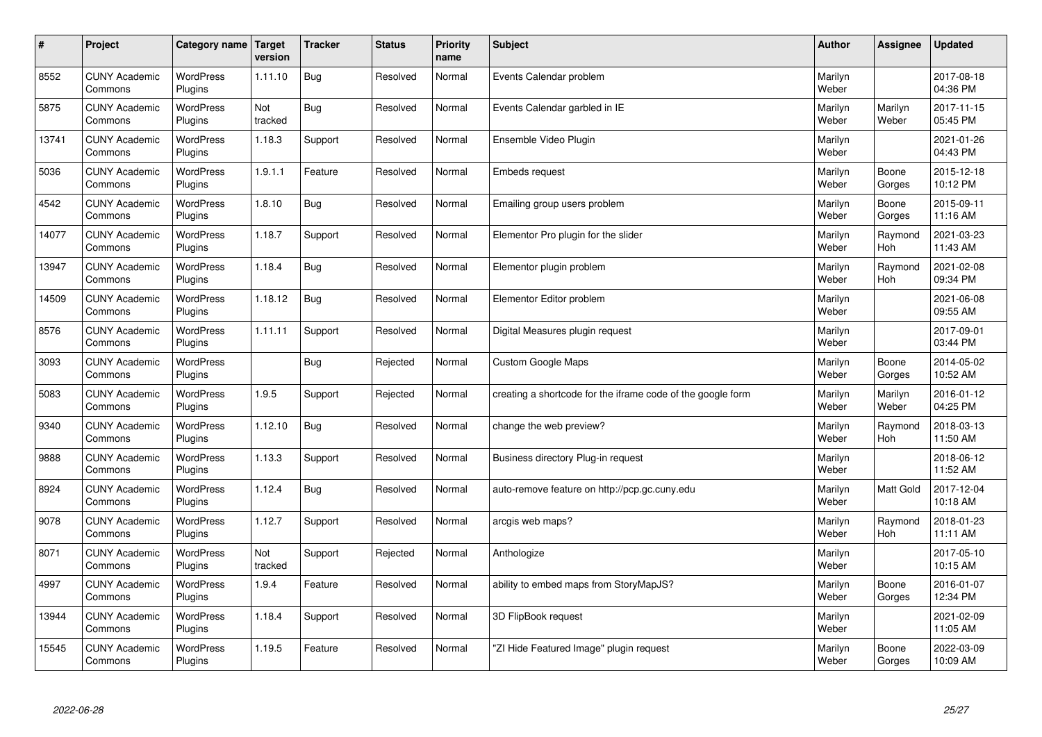| $\sharp$ | Project                         | Category name               | Target<br>version | <b>Tracker</b> | <b>Status</b> | <b>Priority</b><br>name | <b>Subject</b>                                              | <b>Author</b>    | Assignee         | <b>Updated</b>         |
|----------|---------------------------------|-----------------------------|-------------------|----------------|---------------|-------------------------|-------------------------------------------------------------|------------------|------------------|------------------------|
| 8552     | <b>CUNY Academic</b><br>Commons | <b>WordPress</b><br>Plugins | 1.11.10           | Bug            | Resolved      | Normal                  | Events Calendar problem                                     | Marilyn<br>Weber |                  | 2017-08-18<br>04:36 PM |
| 5875     | <b>CUNY Academic</b><br>Commons | <b>WordPress</b><br>Plugins | Not<br>tracked    | Bug            | Resolved      | Normal                  | Events Calendar garbled in IE                               | Marilyn<br>Weber | Marilyn<br>Weber | 2017-11-15<br>05:45 PM |
| 13741    | <b>CUNY Academic</b><br>Commons | <b>WordPress</b><br>Plugins | 1.18.3            | Support        | Resolved      | Normal                  | Ensemble Video Plugin                                       | Marilyn<br>Weber |                  | 2021-01-26<br>04:43 PM |
| 5036     | <b>CUNY Academic</b><br>Commons | <b>WordPress</b><br>Plugins | 1.9.1.1           | Feature        | Resolved      | Normal                  | <b>Embeds request</b>                                       | Marilyn<br>Weber | Boone<br>Gorges  | 2015-12-18<br>10:12 PM |
| 4542     | <b>CUNY Academic</b><br>Commons | <b>WordPress</b><br>Plugins | 1.8.10            | Bug            | Resolved      | Normal                  | Emailing group users problem                                | Marilyn<br>Weber | Boone<br>Gorges  | 2015-09-11<br>11:16 AM |
| 14077    | <b>CUNY Academic</b><br>Commons | WordPress<br>Plugins        | 1.18.7            | Support        | Resolved      | Normal                  | Elementor Pro plugin for the slider                         | Marilyn<br>Weber | Raymond<br>Hoh   | 2021-03-23<br>11:43 AM |
| 13947    | <b>CUNY Academic</b><br>Commons | WordPress<br>Plugins        | 1.18.4            | <b>Bug</b>     | Resolved      | Normal                  | Elementor plugin problem                                    | Marilyn<br>Weber | Raymond<br>Hoh   | 2021-02-08<br>09:34 PM |
| 14509    | <b>CUNY Academic</b><br>Commons | WordPress<br>Plugins        | 1.18.12           | Bug            | Resolved      | Normal                  | Elementor Editor problem                                    | Marilyn<br>Weber |                  | 2021-06-08<br>09:55 AM |
| 8576     | <b>CUNY Academic</b><br>Commons | <b>WordPress</b><br>Plugins | 1.11.11           | Support        | Resolved      | Normal                  | Digital Measures plugin request                             | Marilyn<br>Weber |                  | 2017-09-01<br>03:44 PM |
| 3093     | <b>CUNY Academic</b><br>Commons | WordPress<br>Plugins        |                   | <b>Bug</b>     | Rejected      | Normal                  | <b>Custom Google Maps</b>                                   | Marilyn<br>Weber | Boone<br>Gorges  | 2014-05-02<br>10:52 AM |
| 5083     | <b>CUNY Academic</b><br>Commons | WordPress<br>Plugins        | 1.9.5             | Support        | Rejected      | Normal                  | creating a shortcode for the iframe code of the google form | Marilyn<br>Weber | Marilyn<br>Weber | 2016-01-12<br>04:25 PM |
| 9340     | <b>CUNY Academic</b><br>Commons | <b>WordPress</b><br>Plugins | 1.12.10           | <b>Bug</b>     | Resolved      | Normal                  | change the web preview?                                     | Marilyn<br>Weber | Raymond<br>Hoh   | 2018-03-13<br>11:50 AM |
| 9888     | <b>CUNY Academic</b><br>Commons | <b>WordPress</b><br>Plugins | 1.13.3            | Support        | Resolved      | Normal                  | Business directory Plug-in request                          | Marilyn<br>Weber |                  | 2018-06-12<br>11:52 AM |
| 8924     | <b>CUNY Academic</b><br>Commons | WordPress<br>Plugins        | 1.12.4            | Bug            | Resolved      | Normal                  | auto-remove feature on http://pcp.gc.cuny.edu               | Marilyn<br>Weber | Matt Gold        | 2017-12-04<br>10:18 AM |
| 9078     | <b>CUNY Academic</b><br>Commons | <b>WordPress</b><br>Plugins | 1.12.7            | Support        | Resolved      | Normal                  | arcgis web maps?                                            | Marilyn<br>Weber | Raymond<br>Hoh   | 2018-01-23<br>11:11 AM |
| 8071     | <b>CUNY Academic</b><br>Commons | <b>WordPress</b><br>Plugins | Not<br>tracked    | Support        | Rejected      | Normal                  | Anthologize                                                 | Marilyn<br>Weber |                  | 2017-05-10<br>10:15 AM |
| 4997     | <b>CUNY Academic</b><br>Commons | WordPress<br>Plugins        | 1.9.4             | Feature        | Resolved      | Normal                  | ability to embed maps from StoryMapJS?                      | Marilyn<br>Weber | Boone<br>Gorges  | 2016-01-07<br>12:34 PM |
| 13944    | <b>CUNY Academic</b><br>Commons | WordPress<br>Plugins        | 1.18.4            | Support        | Resolved      | Normal                  | 3D FlipBook request                                         | Marilyn<br>Weber |                  | 2021-02-09<br>11:05 AM |
| 15545    | <b>CUNY Academic</b><br>Commons | <b>WordPress</b><br>Plugins | 1.19.5            | Feature        | Resolved      | Normal                  | 'ZI Hide Featured Image" plugin request                     | Marilyn<br>Weber | Boone<br>Gorges  | 2022-03-09<br>10:09 AM |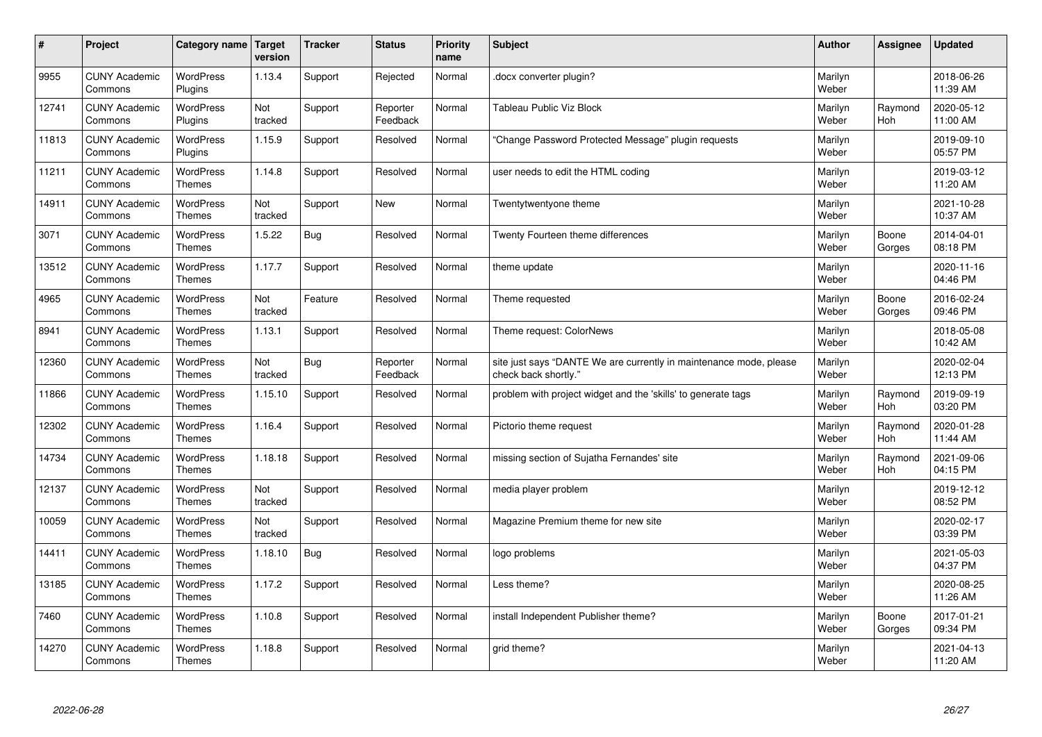| $\sharp$ | Project                         | Category name   Target            | version        | <b>Tracker</b> | <b>Status</b>        | <b>Priority</b><br>name | <b>Subject</b>                                                                             | <b>Author</b>    | Assignee        | <b>Updated</b>         |
|----------|---------------------------------|-----------------------------------|----------------|----------------|----------------------|-------------------------|--------------------------------------------------------------------------------------------|------------------|-----------------|------------------------|
| 9955     | <b>CUNY Academic</b><br>Commons | <b>WordPress</b><br>Plugins       | 1.13.4         | Support        | Rejected             | Normal                  | docx converter plugin?                                                                     | Marilyn<br>Weber |                 | 2018-06-26<br>11:39 AM |
| 12741    | <b>CUNY Academic</b><br>Commons | <b>WordPress</b><br>Plugins       | Not<br>tracked | Support        | Reporter<br>Feedback | Normal                  | Tableau Public Viz Block                                                                   | Marilyn<br>Weber | Raymond<br>Hoh  | 2020-05-12<br>11:00 AM |
| 11813    | <b>CUNY Academic</b><br>Commons | <b>WordPress</b><br>Plugins       | 1.15.9         | Support        | Resolved             | Normal                  | 'Change Password Protected Message" plugin requests                                        | Marilyn<br>Weber |                 | 2019-09-10<br>05:57 PM |
| 11211    | <b>CUNY Academic</b><br>Commons | <b>WordPress</b><br><b>Themes</b> | 1.14.8         | Support        | Resolved             | Normal                  | user needs to edit the HTML coding                                                         | Marilyn<br>Weber |                 | 2019-03-12<br>11:20 AM |
| 14911    | <b>CUNY Academic</b><br>Commons | <b>WordPress</b><br><b>Themes</b> | Not<br>tracked | Support        | <b>New</b>           | Normal                  | Twentytwentyone theme                                                                      | Marilyn<br>Weber |                 | 2021-10-28<br>10:37 AM |
| 3071     | <b>CUNY Academic</b><br>Commons | WordPress<br><b>Themes</b>        | 1.5.22         | Bug            | Resolved             | Normal                  | Twenty Fourteen theme differences                                                          | Marilyn<br>Weber | Boone<br>Gorges | 2014-04-01<br>08:18 PM |
| 13512    | <b>CUNY Academic</b><br>Commons | <b>WordPress</b><br><b>Themes</b> | 1.17.7         | Support        | Resolved             | Normal                  | theme update                                                                               | Marilyn<br>Weber |                 | 2020-11-16<br>04:46 PM |
| 4965     | <b>CUNY Academic</b><br>Commons | <b>WordPress</b><br>Themes        | Not<br>tracked | Feature        | Resolved             | Normal                  | Theme requested                                                                            | Marilyn<br>Weber | Boone<br>Gorges | 2016-02-24<br>09:46 PM |
| 8941     | <b>CUNY Academic</b><br>Commons | <b>WordPress</b><br><b>Themes</b> | 1.13.1         | Support        | Resolved             | Normal                  | Theme request: ColorNews                                                                   | Marilyn<br>Weber |                 | 2018-05-08<br>10:42 AM |
| 12360    | <b>CUNY Academic</b><br>Commons | WordPress<br><b>Themes</b>        | Not<br>tracked | <b>Bug</b>     | Reporter<br>Feedback | Normal                  | site just says "DANTE We are currently in maintenance mode, please<br>check back shortly." | Marilyn<br>Weber |                 | 2020-02-04<br>12:13 PM |
| 11866    | <b>CUNY Academic</b><br>Commons | WordPress<br><b>Themes</b>        | 1.15.10        | Support        | Resolved             | Normal                  | problem with project widget and the 'skills' to generate tags                              | Marilyn<br>Weber | Raymond<br>Hoh  | 2019-09-19<br>03:20 PM |
| 12302    | <b>CUNY Academic</b><br>Commons | <b>WordPress</b><br><b>Themes</b> | 1.16.4         | Support        | Resolved             | Normal                  | Pictorio theme request                                                                     | Marilyn<br>Weber | Raymond<br>Hoh  | 2020-01-28<br>11:44 AM |
| 14734    | <b>CUNY Academic</b><br>Commons | <b>WordPress</b><br><b>Themes</b> | 1.18.18        | Support        | Resolved             | Normal                  | missing section of Sujatha Fernandes' site                                                 | Marilyn<br>Weber | Raymond<br>Hoh  | 2021-09-06<br>04:15 PM |
| 12137    | <b>CUNY Academic</b><br>Commons | WordPress<br><b>Themes</b>        | Not<br>tracked | Support        | Resolved             | Normal                  | media player problem                                                                       | Marilyn<br>Weber |                 | 2019-12-12<br>08:52 PM |
| 10059    | <b>CUNY Academic</b><br>Commons | <b>WordPress</b><br><b>Themes</b> | Not<br>tracked | Support        | Resolved             | Normal                  | Magazine Premium theme for new site                                                        | Marilyn<br>Weber |                 | 2020-02-17<br>03:39 PM |
| 14411    | <b>CUNY Academic</b><br>Commons | <b>WordPress</b><br><b>Themes</b> | 1.18.10        | <b>Bug</b>     | Resolved             | Normal                  | logo problems                                                                              | Marilyn<br>Weber |                 | 2021-05-03<br>04:37 PM |
| 13185    | <b>CUNY Academic</b><br>Commons | WordPress<br><b>Themes</b>        | 1.17.2         | Support        | Resolved             | Normal                  | Less theme?                                                                                | Marilyn<br>Weber |                 | 2020-08-25<br>11:26 AM |
| 7460     | <b>CUNY Academic</b><br>Commons | WordPress<br><b>Themes</b>        | 1.10.8         | Support        | Resolved             | Normal                  | install Independent Publisher theme?                                                       | Marilyn<br>Weber | Boone<br>Gorges | 2017-01-21<br>09:34 PM |
| 14270    | <b>CUNY Academic</b><br>Commons | <b>WordPress</b><br><b>Themes</b> | 1.18.8         | Support        | Resolved             | Normal                  | grid theme?                                                                                | Marilyn<br>Weber |                 | 2021-04-13<br>11:20 AM |